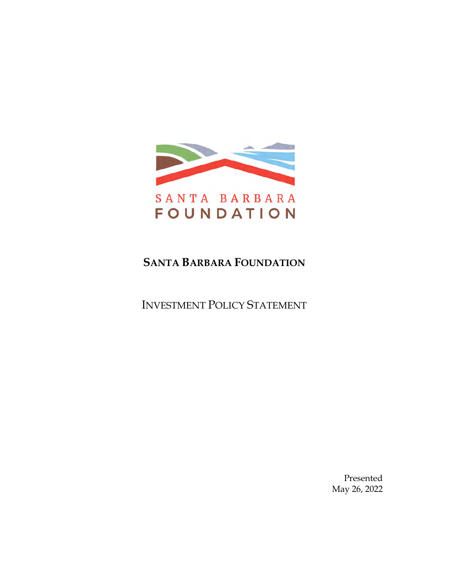

# **SANTA BARBARA FOUNDATION**

INVESTMENT POLICY STATEMENT

Presented May 26, 2022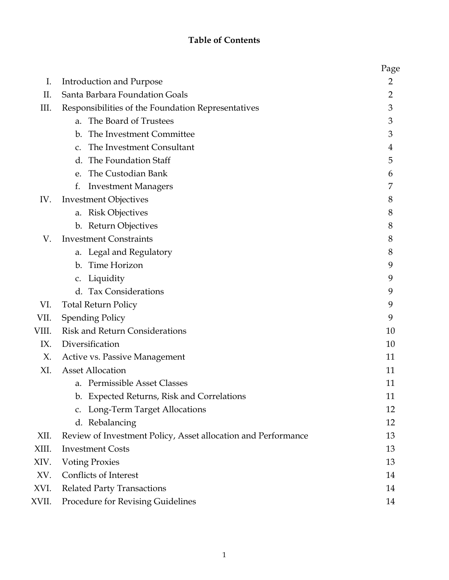# **Table of Contents**

|       |                                                               | Page           |
|-------|---------------------------------------------------------------|----------------|
| I.    | Introduction and Purpose                                      | 2              |
| II.   | Santa Barbara Foundation Goals                                | $\overline{2}$ |
| Ш.    | Responsibilities of the Foundation Representatives            | 3              |
|       | The Board of Trustees<br>a.                                   | 3              |
|       | The Investment Committee<br>b.                                | 3              |
|       | The Investment Consultant<br>$C_{\star}$                      | 4              |
|       | d. The Foundation Staff                                       | 5              |
|       | e. The Custodian Bank                                         | 6              |
|       | f.<br><b>Investment Managers</b>                              | 7              |
| IV.   | <b>Investment Objectives</b>                                  | 8              |
|       | a. Risk Objectives                                            | 8              |
|       | b. Return Objectives                                          | 8              |
| V.    | <b>Investment Constraints</b>                                 | 8              |
|       | a. Legal and Regulatory                                       | 8              |
|       | b. Time Horizon                                               | 9              |
|       | c. Liquidity                                                  | 9              |
|       | d. Tax Considerations                                         | 9              |
| VI.   | <b>Total Return Policy</b>                                    | 9              |
| VII.  | <b>Spending Policy</b>                                        | 9              |
| VIII. | <b>Risk and Return Considerations</b>                         | 10             |
| IX.   | Diversification                                               | 10             |
| X.    | Active vs. Passive Management                                 | 11             |
| XI.   | <b>Asset Allocation</b>                                       | 11             |
|       | a. Permissible Asset Classes                                  | 11             |
|       | b. Expected Returns, Risk and Correlations                    | 11             |
|       | c. Long-Term Target Allocations                               | 12             |
|       | d. Rebalancing                                                | 12             |
| XII.  | Review of Investment Policy, Asset allocation and Performance | 13             |
| XIII. | <b>Investment Costs</b>                                       | 13             |
| XIV.  | <b>Voting Proxies</b>                                         | 13             |
| XV.   | Conflicts of Interest                                         | 14             |
| XVI.  | <b>Related Party Transactions</b>                             | 14             |
| XVII. | Procedure for Revising Guidelines                             | 14             |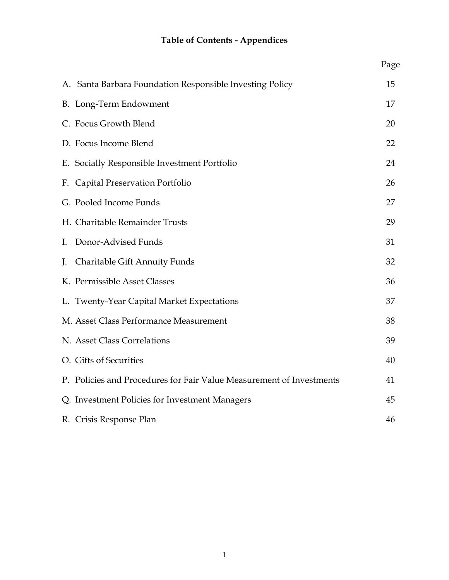# **Table of Contents - Appendices**

|    |                                                                      | Page |
|----|----------------------------------------------------------------------|------|
|    | A. Santa Barbara Foundation Responsible Investing Policy             | 15   |
|    | B. Long-Term Endowment                                               | 17   |
|    | C. Focus Growth Blend                                                | 20   |
|    | D. Focus Income Blend                                                | 22   |
|    | E. Socially Responsible Investment Portfolio                         | 24   |
|    | F. Capital Preservation Portfolio                                    | 26   |
|    | G. Pooled Income Funds                                               | 27   |
|    | H. Charitable Remainder Trusts                                       | 29   |
| I. | Donor-Advised Funds                                                  | 31   |
| J. | Charitable Gift Annuity Funds                                        | 32   |
|    | K. Permissible Asset Classes                                         | 36   |
|    | L. Twenty-Year Capital Market Expectations                           | 37   |
|    | M. Asset Class Performance Measurement                               | 38   |
|    | N. Asset Class Correlations                                          | 39   |
|    | O. Gifts of Securities                                               | 40   |
|    | P. Policies and Procedures for Fair Value Measurement of Investments | 41   |
|    | Q. Investment Policies for Investment Managers                       | 45   |
|    | R. Crisis Response Plan                                              | 46   |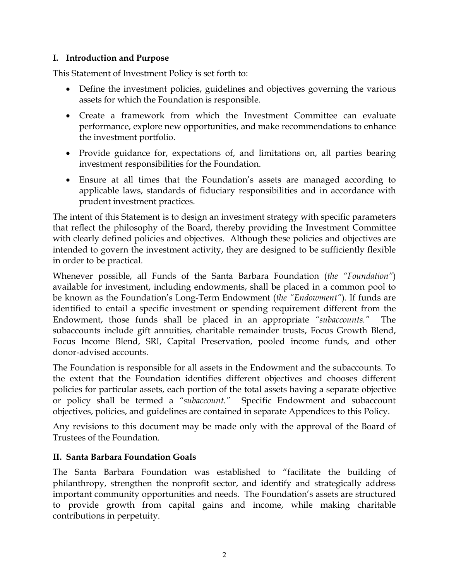### **I. Introduction and Purpose**

This Statement of Investment Policy is set forth to:

- Define the investment policies, guidelines and objectives governing the various assets for which the Foundation is responsible.
- Create a framework from which the Investment Committee can evaluate performance, explore new opportunities, and make recommendations to enhance the investment portfolio.
- Provide guidance for, expectations of, and limitations on, all parties bearing investment responsibilities for the Foundation.
- Ensure at all times that the Foundation's assets are managed according to applicable laws, standards of fiduciary responsibilities and in accordance with prudent investment practices.

The intent of this Statement is to design an investment strategy with specific parameters that reflect the philosophy of the Board, thereby providing the Investment Committee with clearly defined policies and objectives. Although these policies and objectives are intended to govern the investment activity, they are designed to be sufficiently flexible in order to be practical.

Whenever possible, all Funds of the Santa Barbara Foundation (*the "Foundation"*) available for investment, including endowments, shall be placed in a common pool to be known as the Foundation's Long-Term Endowment (*the "Endowment"*). If funds are identified to entail a specific investment or spending requirement different from the Endowment, those funds shall be placed in an appropriate *"subaccounts."* The subaccounts include gift annuities, charitable remainder trusts, Focus Growth Blend, Focus Income Blend, SRI, Capital Preservation, pooled income funds, and other donor-advised accounts.

The Foundation is responsible for all assets in the Endowment and the subaccounts. To the extent that the Foundation identifies different objectives and chooses different policies for particular assets, each portion of the total assets having a separate objective or policy shall be termed a *"subaccount."* Specific Endowment and subaccount objectives, policies, and guidelines are contained in separate Appendices to this Policy.

Any revisions to this document may be made only with the approval of the Board of Trustees of the Foundation.

### **II. Santa Barbara Foundation Goals**

The Santa Barbara Foundation was established to "facilitate the building of philanthropy, strengthen the nonprofit sector, and identify and strategically address important community opportunities and needs. The Foundation's assets are structured to provide growth from capital gains and income, while making charitable contributions in perpetuity.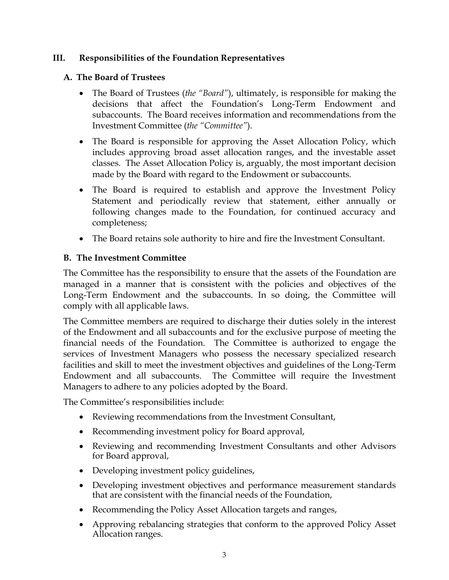### **III. Responsibilities of the Foundation Representatives**

### **A. The Board of Trustees**

- The Board of Trustees (*the "Board"*), ultimately, is responsible for making the decisions that affect the Foundation's Long-Term Endowment and subaccounts. The Board receives information and recommendations from the Investment Committee (*the "Committee"*).
- The Board is responsible for approving the Asset Allocation Policy, which includes approving broad asset allocation ranges, and the investable asset classes. The Asset Allocation Policy is, arguably, the most important decision made by the Board with regard to the Endowment or subaccounts.
- The Board is required to establish and approve the Investment Policy Statement and periodically review that statement, either annually or following changes made to the Foundation, for continued accuracy and completeness;
- The Board retains sole authority to hire and fire the Investment Consultant.

### **B. The Investment Committee**

The Committee has the responsibility to ensure that the assets of the Foundation are managed in a manner that is consistent with the policies and objectives of the Long-Term Endowment and the subaccounts. In so doing, the Committee will comply with all applicable laws.

The Committee members are required to discharge their duties solely in the interest of the Endowment and all subaccounts and for the exclusive purpose of meeting the financial needs of the Foundation. The Committee is authorized to engage the services of Investment Managers who possess the necessary specialized research facilities and skill to meet the investment objectives and guidelines of the Long-Term Endowment and all subaccounts. The Committee will require the Investment Managers to adhere to any policies adopted by the Board.

The Committee's responsibilities include:

- Reviewing recommendations from the Investment Consultant,
- Recommending investment policy for Board approval,
- Reviewing and recommending Investment Consultants and other Advisors for Board approval,
- Developing investment policy guidelines,
- Developing investment objectives and performance measurement standards that are consistent with the financial needs of the Foundation,
- Recommending the Policy Asset Allocation targets and ranges,
- Approving rebalancing strategies that conform to the approved Policy Asset Allocation ranges.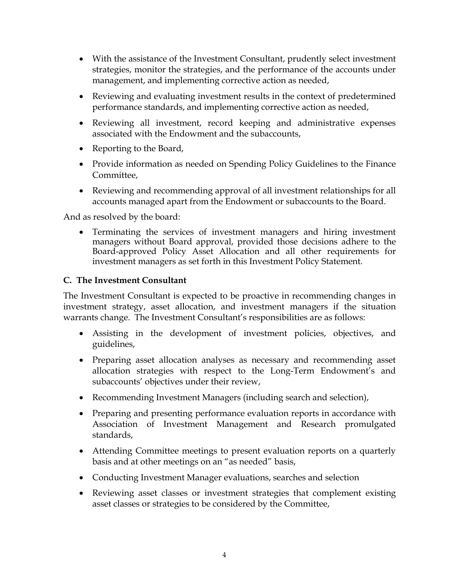- With the assistance of the Investment Consultant, prudently select investment strategies, monitor the strategies, and the performance of the accounts under management, and implementing corrective action as needed,
- Reviewing and evaluating investment results in the context of predetermined performance standards, and implementing corrective action as needed,
- Reviewing all investment, record keeping and administrative expenses associated with the Endowment and the subaccounts,
- Reporting to the Board,
- Provide information as needed on Spending Policy Guidelines to the Finance Committee,
- Reviewing and recommending approval of all investment relationships for all accounts managed apart from the Endowment or subaccounts to the Board.

And as resolved by the board:

• Terminating the services of investment managers and hiring investment managers without Board approval, provided those decisions adhere to the Board-approved Policy Asset Allocation and all other requirements for investment managers as set forth in this Investment Policy Statement.

### **C. The Investment Consultant**

The Investment Consultant is expected to be proactive in recommending changes in investment strategy, asset allocation, and investment managers if the situation warrants change. The Investment Consultant's responsibilities are as follows:

- Assisting in the development of investment policies, objectives, and guidelines,
- Preparing asset allocation analyses as necessary and recommending asset allocation strategies with respect to the Long-Term Endowment's and subaccounts' objectives under their review,
- Recommending Investment Managers (including search and selection),
- Preparing and presenting performance evaluation reports in accordance with Association of Investment Management and Research promulgated standards,
- Attending Committee meetings to present evaluation reports on a quarterly basis and at other meetings on an "as needed" basis,
- Conducting Investment Manager evaluations, searches and selection
- Reviewing asset classes or investment strategies that complement existing asset classes or strategies to be considered by the Committee,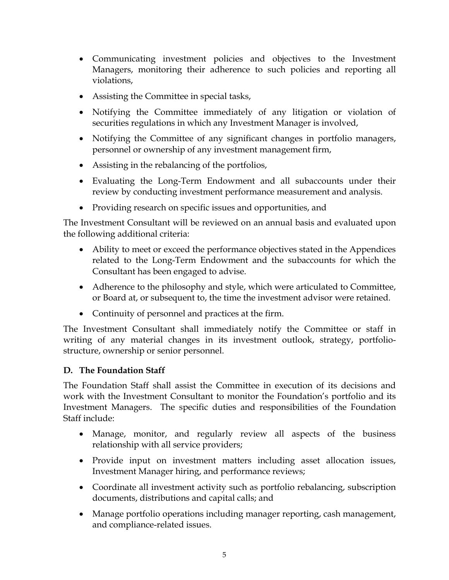- Communicating investment policies and objectives to the Investment Managers, monitoring their adherence to such policies and reporting all violations,
- Assisting the Committee in special tasks,
- Notifying the Committee immediately of any litigation or violation of securities regulations in which any Investment Manager is involved,
- Notifying the Committee of any significant changes in portfolio managers, personnel or ownership of any investment management firm,
- Assisting in the rebalancing of the portfolios,
- Evaluating the Long-Term Endowment and all subaccounts under their review by conducting investment performance measurement and analysis.
- Providing research on specific issues and opportunities, and

The Investment Consultant will be reviewed on an annual basis and evaluated upon the following additional criteria:

- Ability to meet or exceed the performance objectives stated in the Appendices related to the Long-Term Endowment and the subaccounts for which the Consultant has been engaged to advise.
- Adherence to the philosophy and style, which were articulated to Committee, or Board at, or subsequent to, the time the investment advisor were retained.
- Continuity of personnel and practices at the firm.

The Investment Consultant shall immediately notify the Committee or staff in writing of any material changes in its investment outlook, strategy, portfoliostructure, ownership or senior personnel.

# **D. The Foundation Staff**

The Foundation Staff shall assist the Committee in execution of its decisions and work with the Investment Consultant to monitor the Foundation's portfolio and its Investment Managers. The specific duties and responsibilities of the Foundation Staff include:

- Manage, monitor, and regularly review all aspects of the business relationship with all service providers;
- Provide input on investment matters including asset allocation issues, Investment Manager hiring, and performance reviews;
- Coordinate all investment activity such as portfolio rebalancing, subscription documents, distributions and capital calls; and
- Manage portfolio operations including manager reporting, cash management, and compliance-related issues.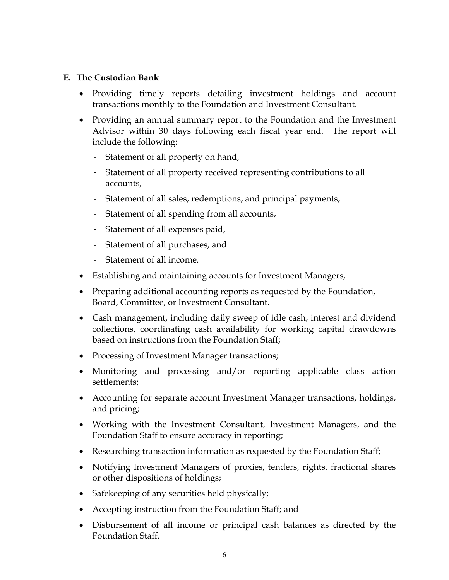#### **E. The Custodian Bank**

- Providing timely reports detailing investment holdings and account transactions monthly to the Foundation and Investment Consultant.
- Providing an annual summary report to the Foundation and the Investment Advisor within 30 days following each fiscal year end. The report will include the following:
	- Statement of all property on hand,
	- Statement of all property received representing contributions to all accounts,
	- Statement of all sales, redemptions, and principal payments,
	- Statement of all spending from all accounts,
	- Statement of all expenses paid,
	- Statement of all purchases, and
	- Statement of all income.
- Establishing and maintaining accounts for Investment Managers,
- Preparing additional accounting reports as requested by the Foundation, Board, Committee, or Investment Consultant.
- Cash management, including daily sweep of idle cash, interest and dividend collections, coordinating cash availability for working capital drawdowns based on instructions from the Foundation Staff;
- Processing of Investment Manager transactions;
- Monitoring and processing and/or reporting applicable class action settlements;
- Accounting for separate account Investment Manager transactions, holdings, and pricing;
- Working with the Investment Consultant, Investment Managers, and the Foundation Staff to ensure accuracy in reporting;
- Researching transaction information as requested by the Foundation Staff;
- Notifying Investment Managers of proxies, tenders, rights, fractional shares or other dispositions of holdings;
- Safekeeping of any securities held physically;
- Accepting instruction from the Foundation Staff; and
- Disbursement of all income or principal cash balances as directed by the Foundation Staff.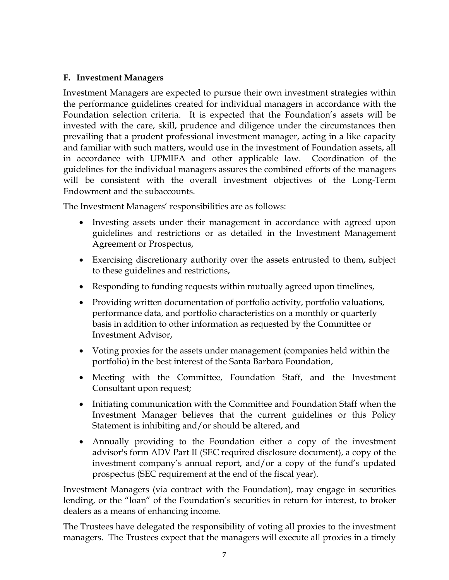### **F. Investment Managers**

Investment Managers are expected to pursue their own investment strategies within the performance guidelines created for individual managers in accordance with the Foundation selection criteria. It is expected that the Foundation's assets will be invested with the care, skill, prudence and diligence under the circumstances then prevailing that a prudent professional investment manager, acting in a like capacity and familiar with such matters, would use in the investment of Foundation assets, all in accordance with UPMIFA and other applicable law. Coordination of the guidelines for the individual managers assures the combined efforts of the managers will be consistent with the overall investment objectives of the Long-Term Endowment and the subaccounts.

The Investment Managers' responsibilities are as follows:

- Investing assets under their management in accordance with agreed upon guidelines and restrictions or as detailed in the Investment Management Agreement or Prospectus,
- Exercising discretionary authority over the assets entrusted to them, subject to these guidelines and restrictions,
- Responding to funding requests within mutually agreed upon timelines,
- Providing written documentation of portfolio activity, portfolio valuations, performance data, and portfolio characteristics on a monthly or quarterly basis in addition to other information as requested by the Committee or Investment Advisor,
- Voting proxies for the assets under management (companies held within the portfolio) in the best interest of the Santa Barbara Foundation,
- Meeting with the Committee, Foundation Staff, and the Investment Consultant upon request;
- Initiating communication with the Committee and Foundation Staff when the Investment Manager believes that the current guidelines or this Policy Statement is inhibiting and/or should be altered, and
- Annually providing to the Foundation either a copy of the investment advisor's form ADV Part II (SEC required disclosure document), a copy of the investment company's annual report, and/or a copy of the fund's updated prospectus (SEC requirement at the end of the fiscal year).

Investment Managers (via contract with the Foundation), may engage in securities lending, or the "loan" of the Foundation's securities in return for interest, to broker dealers as a means of enhancing income.

The Trustees have delegated the responsibility of voting all proxies to the investment managers. The Trustees expect that the managers will execute all proxies in a timely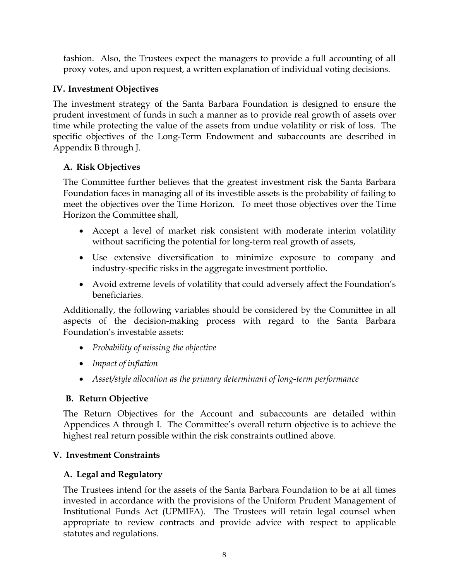fashion. Also, the Trustees expect the managers to provide a full accounting of all proxy votes, and upon request, a written explanation of individual voting decisions.

# **IV. Investment Objectives**

The investment strategy of the Santa Barbara Foundation is designed to ensure the prudent investment of funds in such a manner as to provide real growth of assets over time while protecting the value of the assets from undue volatility or risk of loss. The specific objectives of the Long-Term Endowment and subaccounts are described in Appendix B through J.

### **A. Risk Objectives**

The Committee further believes that the greatest investment risk the Santa Barbara Foundation faces in managing all of its investible assets is the probability of failing to meet the objectives over the Time Horizon. To meet those objectives over the Time Horizon the Committee shall,

- Accept a level of market risk consistent with moderate interim volatility without sacrificing the potential for long-term real growth of assets,
- Use extensive diversification to minimize exposure to company and industry-specific risks in the aggregate investment portfolio.
- Avoid extreme levels of volatility that could adversely affect the Foundation's beneficiaries.

Additionally, the following variables should be considered by the Committee in all aspects of the decision-making process with regard to the Santa Barbara Foundation's investable assets:

- *Probability of missing the objective*
- *Impact of inflation*
- *Asset/style allocation as the primary determinant of long-term performance*

# **B. Return Objective**

The Return Objectives for the Account and subaccounts are detailed within Appendices A through I. The Committee's overall return objective is to achieve the highest real return possible within the risk constraints outlined above.

# **V. Investment Constraints**

# **A. Legal and Regulatory**

The Trustees intend for the assets of the Santa Barbara Foundation to be at all times invested in accordance with the provisions of the Uniform Prudent Management of Institutional Funds Act (UPMIFA). The Trustees will retain legal counsel when appropriate to review contracts and provide advice with respect to applicable statutes and regulations.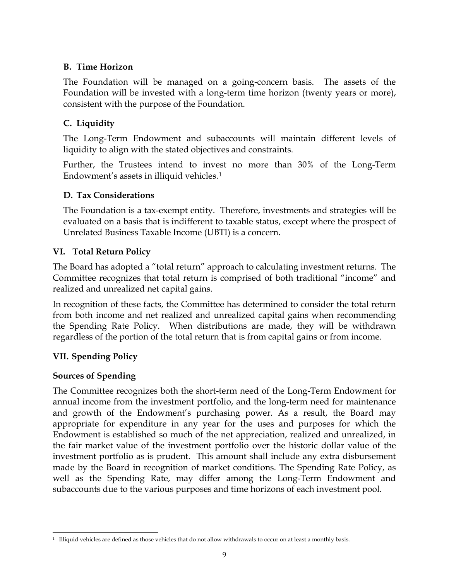### **B. Time Horizon**

The Foundation will be managed on a going-concern basis. The assets of the Foundation will be invested with a long-term time horizon (twenty years or more), consistent with the purpose of the Foundation.

# **C. Liquidity**

The Long-Term Endowment and subaccounts will maintain different levels of liquidity to align with the stated objectives and constraints.

Further, the Trustees intend to invest no more than 30% of the Long-Term Endowment's assets in illiquid vehicles.[1](#page-10-0)

# **D. Tax Considerations**

The Foundation is a tax-exempt entity. Therefore, investments and strategies will be evaluated on a basis that is indifferent to taxable status, except where the prospect of Unrelated Business Taxable Income (UBTI) is a concern.

# **VI. Total Return Policy**

The Board has adopted a "total return" approach to calculating investment returns. The Committee recognizes that total return is comprised of both traditional "income" and realized and unrealized net capital gains.

In recognition of these facts, the Committee has determined to consider the total return from both income and net realized and unrealized capital gains when recommending the Spending Rate Policy. When distributions are made, they will be withdrawn regardless of the portion of the total return that is from capital gains or from income.

# **VII. Spending Policy**

### **Sources of Spending**

The Committee recognizes both the short-term need of the Long-Term Endowment for annual income from the investment portfolio, and the long-term need for maintenance and growth of the Endowment's purchasing power. As a result, the Board may appropriate for expenditure in any year for the uses and purposes for which the Endowment is established so much of the net appreciation, realized and unrealized, in the fair market value of the investment portfolio over the historic dollar value of the investment portfolio as is prudent. This amount shall include any extra disbursement made by the Board in recognition of market conditions. The Spending Rate Policy, as well as the Spending Rate, may differ among the Long-Term Endowment and subaccounts due to the various purposes and time horizons of each investment pool.

<span id="page-10-0"></span><sup>&</sup>lt;sup>1</sup> Illiquid vehicles are defined as those vehicles that do not allow withdrawals to occur on at least a monthly basis.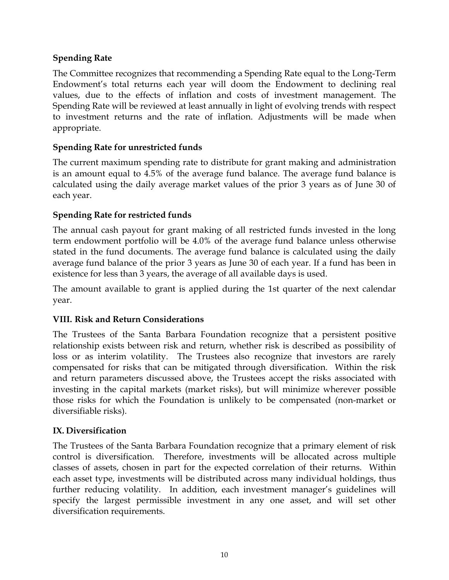### **Spending Rate**

The Committee recognizes that recommending a Spending Rate equal to the Long-Term Endowment's total returns each year will doom the Endowment to declining real values, due to the effects of inflation and costs of investment management. The Spending Rate will be reviewed at least annually in light of evolving trends with respect to investment returns and the rate of inflation. Adjustments will be made when appropriate.

# **Spending Rate for unrestricted funds**

The current maximum spending rate to distribute for grant making and administration is an amount equal to 4.5% of the average fund balance. The average fund balance is calculated using the daily average market values of the prior 3 years as of June 30 of each year.

# **Spending Rate for restricted funds**

The annual cash payout for grant making of all restricted funds invested in the long term endowment portfolio will be 4.0% of the average fund balance unless otherwise stated in the fund documents. The average fund balance is calculated using the daily average fund balance of the prior 3 years as June 30 of each year. If a fund has been in existence for less than 3 years, the average of all available days is used.

The amount available to grant is applied during the 1st quarter of the next calendar year.

# **VIII. Risk and Return Considerations**

The Trustees of the Santa Barbara Foundation recognize that a persistent positive relationship exists between risk and return, whether risk is described as possibility of loss or as interim volatility. The Trustees also recognize that investors are rarely compensated for risks that can be mitigated through diversification. Within the risk and return parameters discussed above, the Trustees accept the risks associated with investing in the capital markets (market risks), but will minimize wherever possible those risks for which the Foundation is unlikely to be compensated (non-market or diversifiable risks).

# **IX. Diversification**

The Trustees of the Santa Barbara Foundation recognize that a primary element of risk control is diversification. Therefore, investments will be allocated across multiple classes of assets, chosen in part for the expected correlation of their returns. Within each asset type, investments will be distributed across many individual holdings, thus further reducing volatility. In addition, each investment manager's guidelines will specify the largest permissible investment in any one asset, and will set other diversification requirements.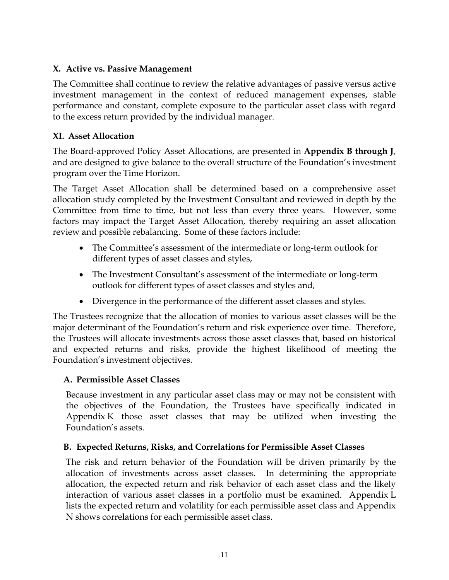# **X. Active vs. Passive Management**

The Committee shall continue to review the relative advantages of passive versus active investment management in the context of reduced management expenses, stable performance and constant, complete exposure to the particular asset class with regard to the excess return provided by the individual manager.

# **XI. Asset Allocation**

The Board-approved Policy Asset Allocations, are presented in **Appendix B through J**, and are designed to give balance to the overall structure of the Foundation's investment program over the Time Horizon.

The Target Asset Allocation shall be determined based on a comprehensive asset allocation study completed by the Investment Consultant and reviewed in depth by the Committee from time to time, but not less than every three years. However, some factors may impact the Target Asset Allocation, thereby requiring an asset allocation review and possible rebalancing. Some of these factors include:

- The Committee's assessment of the intermediate or long-term outlook for different types of asset classes and styles,
- The Investment Consultant's assessment of the intermediate or long-term outlook for different types of asset classes and styles and,
- Divergence in the performance of the different asset classes and styles.

The Trustees recognize that the allocation of monies to various asset classes will be the major determinant of the Foundation's return and risk experience over time. Therefore, the Trustees will allocate investments across those asset classes that, based on historical and expected returns and risks, provide the highest likelihood of meeting the Foundation's investment objectives.

### **A. Permissible Asset Classes**

Because investment in any particular asset class may or may not be consistent with the objectives of the Foundation, the Trustees have specifically indicated in Appendix K those asset classes that may be utilized when investing the Foundation's assets.

# **B. Expected Returns, Risks, and Correlations for Permissible Asset Classes**

The risk and return behavior of the Foundation will be driven primarily by the allocation of investments across asset classes. In determining the appropriate allocation, the expected return and risk behavior of each asset class and the likely interaction of various asset classes in a portfolio must be examined. Appendix L lists the expected return and volatility for each permissible asset class and Appendix N shows correlations for each permissible asset class.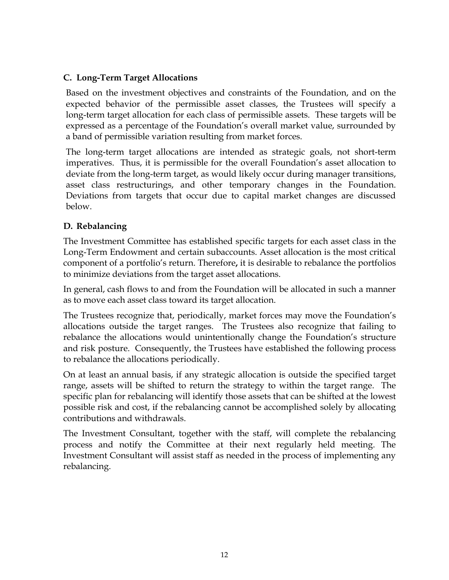### **C. Long-Term Target Allocations**

Based on the investment objectives and constraints of the Foundation, and on the expected behavior of the permissible asset classes, the Trustees will specify a long-term target allocation for each class of permissible assets. These targets will be expressed as a percentage of the Foundation's overall market value, surrounded by a band of permissible variation resulting from market forces.

The long-term target allocations are intended as strategic goals, not short-term imperatives. Thus, it is permissible for the overall Foundation's asset allocation to deviate from the long-term target, as would likely occur during manager transitions, asset class restructurings, and other temporary changes in the Foundation. Deviations from targets that occur due to capital market changes are discussed below.

### **D. Rebalancing**

The Investment Committee has established specific targets for each asset class in the Long-Term Endowment and certain subaccounts. Asset allocation is the most critical component of a portfolio's return. Therefore**,** it is desirable to rebalance the portfolios to minimize deviations from the target asset allocations.

In general, cash flows to and from the Foundation will be allocated in such a manner as to move each asset class toward its target allocation.

The Trustees recognize that, periodically, market forces may move the Foundation's allocations outside the target ranges. The Trustees also recognize that failing to rebalance the allocations would unintentionally change the Foundation's structure and risk posture. Consequently, the Trustees have established the following process to rebalance the allocations periodically.

On at least an annual basis, if any strategic allocation is outside the specified target range, assets will be shifted to return the strategy to within the target range. The specific plan for rebalancing will identify those assets that can be shifted at the lowest possible risk and cost, if the rebalancing cannot be accomplished solely by allocating contributions and withdrawals.

The Investment Consultant, together with the staff, will complete the rebalancing process and notify the Committee at their next regularly held meeting. The Investment Consultant will assist staff as needed in the process of implementing any rebalancing.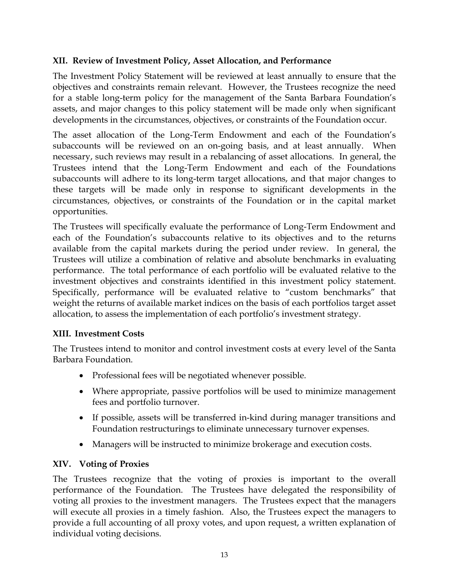### **XII. Review of Investment Policy, Asset Allocation, and Performance**

The Investment Policy Statement will be reviewed at least annually to ensure that the objectives and constraints remain relevant. However, the Trustees recognize the need for a stable long-term policy for the management of the Santa Barbara Foundation's assets, and major changes to this policy statement will be made only when significant developments in the circumstances, objectives, or constraints of the Foundation occur.

The asset allocation of the Long-Term Endowment and each of the Foundation's subaccounts will be reviewed on an on-going basis, and at least annually. When necessary, such reviews may result in a rebalancing of asset allocations. In general, the Trustees intend that the Long-Term Endowment and each of the Foundations subaccounts will adhere to its long-term target allocations, and that major changes to these targets will be made only in response to significant developments in the circumstances, objectives, or constraints of the Foundation or in the capital market opportunities.

The Trustees will specifically evaluate the performance of Long-Term Endowment and each of the Foundation's subaccounts relative to its objectives and to the returns available from the capital markets during the period under review. In general, the Trustees will utilize a combination of relative and absolute benchmarks in evaluating performance. The total performance of each portfolio will be evaluated relative to the investment objectives and constraints identified in this investment policy statement. Specifically, performance will be evaluated relative to "custom benchmarks" that weight the returns of available market indices on the basis of each portfolios target asset allocation, to assess the implementation of each portfolio's investment strategy.

#### **XIII. Investment Costs**

The Trustees intend to monitor and control investment costs at every level of the Santa Barbara Foundation.

- Professional fees will be negotiated whenever possible.
- Where appropriate, passive portfolios will be used to minimize management fees and portfolio turnover.
- If possible, assets will be transferred in-kind during manager transitions and Foundation restructurings to eliminate unnecessary turnover expenses.
- Managers will be instructed to minimize brokerage and execution costs.

#### **XIV. Voting of Proxies**

The Trustees recognize that the voting of proxies is important to the overall performance of the Foundation. The Trustees have delegated the responsibility of voting all proxies to the investment managers. The Trustees expect that the managers will execute all proxies in a timely fashion. Also, the Trustees expect the managers to provide a full accounting of all proxy votes, and upon request, a written explanation of individual voting decisions.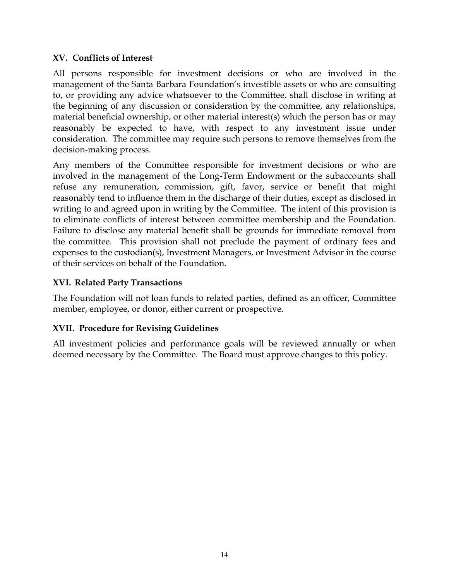### **XV. Conflicts of Interest**

All persons responsible for investment decisions or who are involved in the management of the Santa Barbara Foundation's investible assets or who are consulting to, or providing any advice whatsoever to the Committee, shall disclose in writing at the beginning of any discussion or consideration by the committee, any relationships, material beneficial ownership, or other material interest(s) which the person has or may reasonably be expected to have, with respect to any investment issue under consideration. The committee may require such persons to remove themselves from the decision-making process.

Any members of the Committee responsible for investment decisions or who are involved in the management of the Long-Term Endowment or the subaccounts shall refuse any remuneration, commission, gift, favor, service or benefit that might reasonably tend to influence them in the discharge of their duties, except as disclosed in writing to and agreed upon in writing by the Committee. The intent of this provision is to eliminate conflicts of interest between committee membership and the Foundation. Failure to disclose any material benefit shall be grounds for immediate removal from the committee. This provision shall not preclude the payment of ordinary fees and expenses to the custodian(s), Investment Managers, or Investment Advisor in the course of their services on behalf of the Foundation.

# **XVI. Related Party Transactions**

The Foundation will not loan funds to related parties, defined as an officer, Committee member, employee, or donor, either current or prospective.

### **XVII. Procedure for Revising Guidelines**

All investment policies and performance goals will be reviewed annually or when deemed necessary by the Committee. The Board must approve changes to this policy.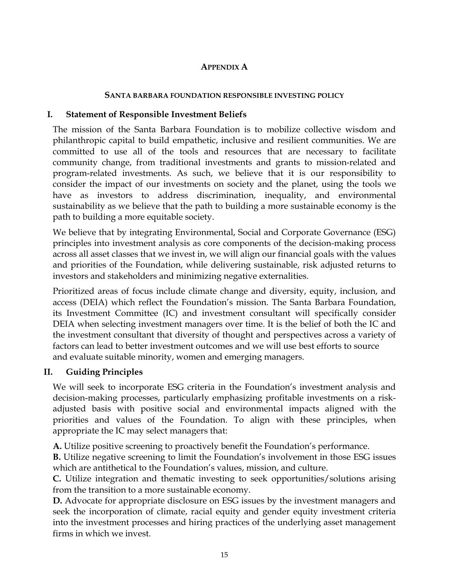### **APPENDIX A**

### **SANTA BARBARA FOUNDATION RESPONSIBLE INVESTING POLICY**

# **I. Statement of Responsible Investment Beliefs**

The mission of the Santa Barbara Foundation is to mobilize collective wisdom and philanthropic capital to build empathetic, inclusive and resilient communities. We are committed to use all of the tools and resources that are necessary to facilitate community change, from traditional investments and grants to mission-related and program-related investments. As such, we believe that it is our responsibility to consider the impact of our investments on society and the planet, using the tools we have as investors to address discrimination, inequality, and environmental sustainability as we believe that the path to building a more sustainable economy is the path to building a more equitable society.

We believe that by integrating Environmental, Social and Corporate Governance (ESG) principles into investment analysis as core components of the decision-making process across all asset classes that we invest in, we will align our financial goals with the values and priorities of the Foundation, while delivering sustainable, risk adjusted returns to investors and stakeholders and minimizing negative externalities.

Prioritized areas of focus include climate change and diversity, equity, inclusion, and access (DEIA) which reflect the Foundation's mission. The Santa Barbara Foundation, its Investment Committee (IC) and investment consultant will specifically consider DEIA when selecting investment managers over time. It is the belief of both the IC and the investment consultant that diversity of thought and perspectives across a variety of factors can lead to better investment outcomes and we will use best efforts to source and evaluate suitable minority, women and emerging managers.

# **II. Guiding Principles**

We will seek to incorporate ESG criteria in the Foundation's investment analysis and decision-making processes, particularly emphasizing profitable investments on a riskadjusted basis with positive social and environmental impacts aligned with the priorities and values of the Foundation. To align with these principles, when appropriate the IC may select managers that:

**A.** Utilize positive screening to proactively benefit the Foundation's performance.

**B.** Utilize negative screening to limit the Foundation's involvement in those ESG issues which are antithetical to the Foundation's values, mission, and culture.

**C.** Utilize integration and thematic investing to seek opportunities/solutions arising from the transition to a more sustainable economy.

**D.** Advocate for appropriate disclosure on ESG issues by the investment managers and seek the incorporation of climate, racial equity and gender equity investment criteria into the investment processes and hiring practices of the underlying asset management firms in which we invest.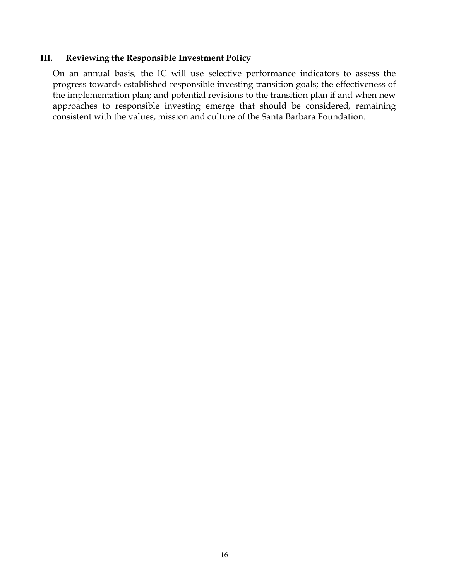# **III. Reviewing the Responsible Investment Policy**

On an annual basis, the IC will use selective performance indicators to assess the progress towards established responsible investing transition goals; the effectiveness of the implementation plan; and potential revisions to the transition plan if and when new approaches to responsible investing emerge that should be considered, remaining consistent with the values, mission and culture of the Santa Barbara Foundation.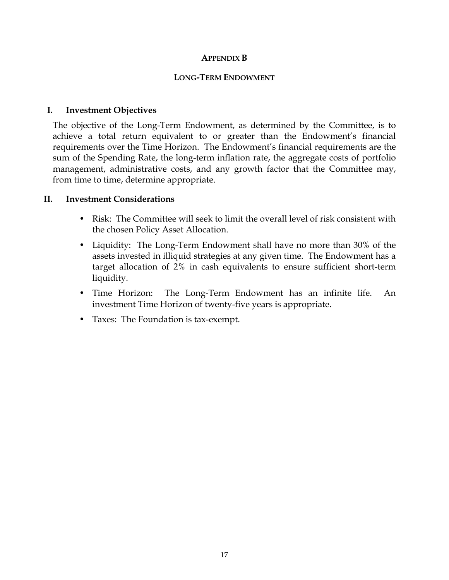#### **APPENDIX B**

#### **LONG-TERM ENDOWMENT**

### **I. Investment Objectives**

The objective of the Long-Term Endowment, as determined by the Committee, is to achieve a total return equivalent to or greater than the Endowment's financial requirements over the Time Horizon. The Endowment's financial requirements are the sum of the Spending Rate, the long-term inflation rate, the aggregate costs of portfolio management, administrative costs, and any growth factor that the Committee may, from time to time, determine appropriate.

#### **II. Investment Considerations**

- Risk: The Committee will seek to limit the overall level of risk consistent with the chosen Policy Asset Allocation.
- Liquidity: The Long-Term Endowment shall have no more than 30% of the assets invested in illiquid strategies at any given time. The Endowment has a target allocation of 2% in cash equivalents to ensure sufficient short-term liquidity.
- Time Horizon: The Long-Term Endowment has an infinite life. An investment Time Horizon of twenty-five years is appropriate.
- Taxes: The Foundation is tax-exempt.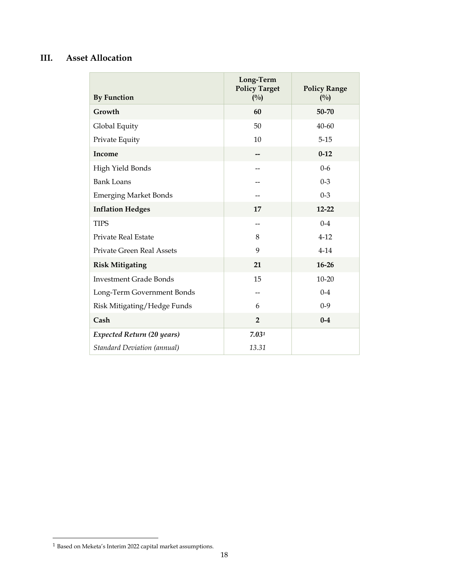# **III. Asset Allocation**

| <b>By Function</b>                 | Long-Term<br><b>Policy Target</b><br>(0/0) | <b>Policy Range</b><br>(0/0) |
|------------------------------------|--------------------------------------------|------------------------------|
| Growth                             | 60                                         | 50-70                        |
| Global Equity                      | 50                                         | $40 - 60$                    |
| Private Equity                     | 10                                         | $5 - 15$                     |
| Income                             |                                            | $0 - 12$                     |
| High Yield Bonds                   |                                            | $0 - 6$                      |
| <b>Bank Loans</b>                  |                                            | $0 - 3$                      |
| <b>Emerging Market Bonds</b>       |                                            | $0 - 3$                      |
| <b>Inflation Hedges</b>            | 17                                         | $12 - 22$                    |
| <b>TIPS</b>                        | $-1$                                       | $0 - 4$                      |
| Private Real Estate                | 8                                          | $4-12$                       |
| Private Green Real Assets          | 9                                          | $4 - 14$                     |
| <b>Risk Mitigating</b>             | 21                                         | $16 - 26$                    |
| <b>Investment Grade Bonds</b>      | 15                                         | $10 - 20$                    |
| Long-Term Government Bonds         |                                            | $0 - 4$                      |
| Risk Mitigating/Hedge Funds        | 6                                          | $0 - 9$                      |
| Cash                               | $\overline{2}$                             | $0 - 4$                      |
| <b>Expected Return (20 years)</b>  | 7.031                                      |                              |
| <b>Standard Deviation (annual)</b> | 13.31                                      |                              |

<span id="page-19-0"></span> $^{\rm 1}$  Based on Meketa's Interim 2022 capital market assumptions.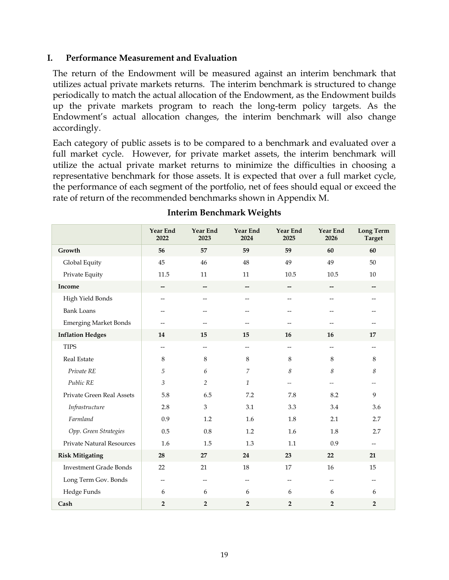#### **I. Performance Measurement and Evaluation**

The return of the Endowment will be measured against an interim benchmark that utilizes actual private markets returns. The interim benchmark is structured to change periodically to match the actual allocation of the Endowment, as the Endowment builds up the private markets program to reach the long-term policy targets. As the Endowment's actual allocation changes, the interim benchmark will also change accordingly.

Each category of public assets is to be compared to a benchmark and evaluated over a full market cycle. However, for private market assets, the interim benchmark will utilize the actual private market returns to minimize the difficulties in choosing a representative benchmark for those assets. It is expected that over a full market cycle, the performance of each segment of the portfolio, net of fees should equal or exceed the rate of return of the recommended benchmarks shown in Appendix M.

|                                  | <b>Year End</b><br>2022  | <b>Year End</b><br>2023  | <b>Year End</b><br>2024 | <b>Year End</b><br>2025 | Year End<br>2026         | <b>Long Term</b><br>Target |
|----------------------------------|--------------------------|--------------------------|-------------------------|-------------------------|--------------------------|----------------------------|
| Growth                           | 56                       | 57                       | 59                      | 59                      | 60                       | 60                         |
| Global Equity                    | 45                       | 46                       | 48                      | 49                      | 49                       | 50                         |
| Private Equity                   | 11.5                     | 11                       | 11                      | 10.5                    | 10.5                     | 10                         |
| Income                           | --                       | --                       | --                      | --                      | $\overline{\phantom{m}}$ |                            |
| High Yield Bonds                 | $\overline{\phantom{a}}$ | $\overline{\phantom{a}}$ | $-$                     | $\qquad \qquad -$       |                          |                            |
| <b>Bank Loans</b>                | $-$                      | $-$                      | --                      | $-$                     |                          |                            |
| <b>Emerging Market Bonds</b>     |                          |                          |                         |                         |                          |                            |
| <b>Inflation Hedges</b>          | 14                       | 15                       | 15                      | 16                      | 16                       | 17                         |
| <b>TIPS</b>                      | $\overline{\phantom{a}}$ | $\overline{\phantom{a}}$ | --                      | $-$                     | $\overline{a}$           | $-$                        |
| Real Estate                      | 8                        | 8                        | 8                       | 8                       | 8                        | 8                          |
| Private RE                       | $\sqrt{5}$               | 6                        | $\overline{7}$          | 8                       | 8                        | 8                          |
| Public RE                        | $\mathfrak{Z}$           | $\overline{2}$           | $\mathcal{I}$           | $-$                     |                          | $\overline{\phantom{a}}$   |
| Private Green Real Assets        | 5.8                      | 6.5                      | 7.2                     | 7.8                     | 8.2                      | 9                          |
| Infrastructure                   | 2.8                      | 3                        | 3.1                     | 3.3                     | 3.4                      | 3.6                        |
| Farmland                         | 0.9                      | 1.2                      | 1.6                     | 1.8                     | 2.1                      | 2.7                        |
| Opp. Green Strategies            | 0.5                      | 0.8                      | 1.2                     | 1.6                     | 1.8                      | 2.7                        |
| <b>Private Natural Resources</b> | 1.6                      | 1.5                      | 1.3                     | 1.1                     | 0.9                      | $-$                        |
| <b>Risk Mitigating</b>           | 28                       | 27                       | 24                      | 23                      | 22                       | 21                         |
| <b>Investment Grade Bonds</b>    | 22                       | 21                       | 18                      | 17                      | 16                       | 15                         |
| Long Term Gov. Bonds             | $- -$                    | $\overline{\phantom{m}}$ | --                      | $- -$                   | $- -$                    | $\overline{\phantom{a}}$   |
| Hedge Funds                      | 6                        | 6                        | 6                       | 6                       | 6                        | 6                          |
| Cash                             | $\mathbf 2$              | $\overline{2}$           | $\overline{2}$          | $\overline{2}$          | $\overline{2}$           | $\overline{2}$             |

#### **Interim Benchmark Weights**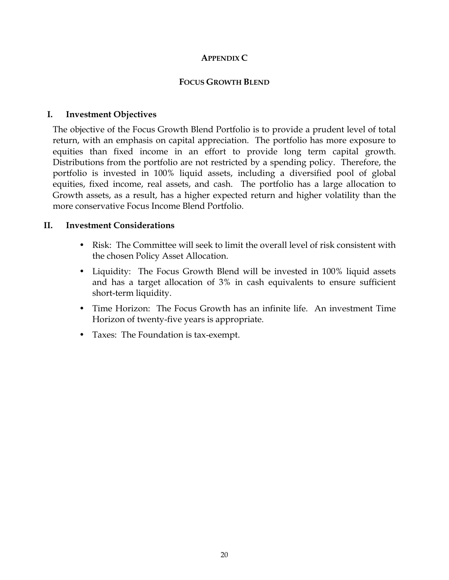#### **APPENDIX C**

### **FOCUS GROWTH BLEND**

### **I. Investment Objectives**

The objective of the Focus Growth Blend Portfolio is to provide a prudent level of total return, with an emphasis on capital appreciation. The portfolio has more exposure to equities than fixed income in an effort to provide long term capital growth. Distributions from the portfolio are not restricted by a spending policy. Therefore, the portfolio is invested in 100% liquid assets, including a diversified pool of global equities, fixed income, real assets, and cash. The portfolio has a large allocation to Growth assets, as a result, has a higher expected return and higher volatility than the more conservative Focus Income Blend Portfolio.

### **II. Investment Considerations**

- Risk: The Committee will seek to limit the overall level of risk consistent with the chosen Policy Asset Allocation.
- Liquidity: The Focus Growth Blend will be invested in 100% liquid assets and has a target allocation of 3% in cash equivalents to ensure sufficient short-term liquidity.
- Time Horizon: The Focus Growth has an infinite life. An investment Time Horizon of twenty-five years is appropriate.
- Taxes: The Foundation is tax-exempt.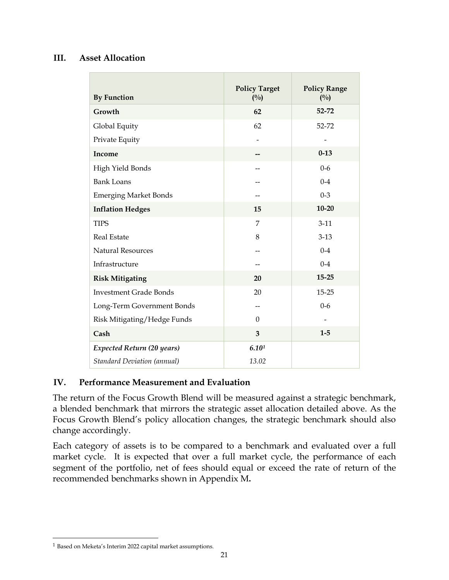### **III. Asset Allocation**

| <b>By Function</b>                 | <b>Policy Target</b><br>(0/0) | <b>Policy Range</b><br>$(^{0}/_{0})$ |
|------------------------------------|-------------------------------|--------------------------------------|
| Growth                             | 62                            | 52-72                                |
| Global Equity                      | 62                            | 52-72                                |
| Private Equity                     |                               |                                      |
| Income                             |                               | $0 - 13$                             |
| High Yield Bonds                   | --                            | $0-6$                                |
| <b>Bank Loans</b>                  |                               | $0 - 4$                              |
| <b>Emerging Market Bonds</b>       |                               | $0 - 3$                              |
| <b>Inflation Hedges</b>            | 15                            | $10 - 20$                            |
| <b>TIPS</b>                        | 7                             | $3-11$                               |
| <b>Real Estate</b>                 | 8                             | $3 - 13$                             |
| <b>Natural Resources</b>           |                               | $0 - 4$                              |
| Infrastructure                     |                               | $0 - 4$                              |
| <b>Risk Mitigating</b>             | 20                            | $15 - 25$                            |
| <b>Investment Grade Bonds</b>      | 20                            | $15 - 25$                            |
| Long-Term Government Bonds         |                               | $0 - 6$                              |
| Risk Mitigating/Hedge Funds        | $\Omega$                      |                                      |
| Cash                               | 3                             | $1 - 5$                              |
| Expected Return (20 years)         | 6.101                         |                                      |
| <b>Standard Deviation (annual)</b> | 13.02                         |                                      |

### **IV. Performance Measurement and Evaluation**

The return of the Focus Growth Blend will be measured against a strategic benchmark, a blended benchmark that mirrors the strategic asset allocation detailed above. As the Focus Growth Blend's policy allocation changes, the strategic benchmark should also change accordingly.

Each category of assets is to be compared to a benchmark and evaluated over a full market cycle. It is expected that over a full market cycle, the performance of each segment of the portfolio, net of fees should equal or exceed the rate of return of the recommended benchmarks shown in Appendix M**.** 

<span id="page-22-0"></span><sup>1</sup> Based on Meketa's Interim 2022 capital market assumptions.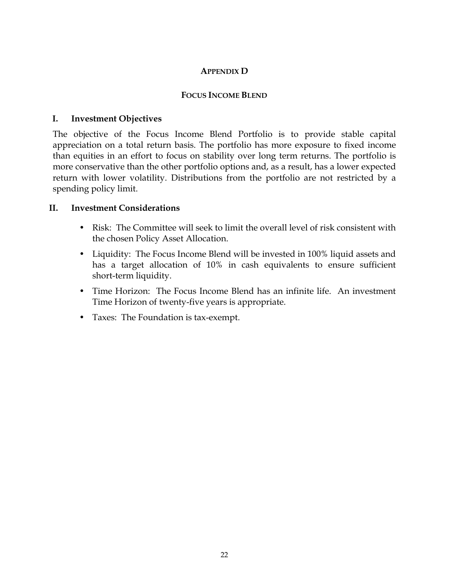### **APPENDIX D**

### **FOCUS INCOME BLEND**

### **I. Investment Objectives**

The objective of the Focus Income Blend Portfolio is to provide stable capital appreciation on a total return basis. The portfolio has more exposure to fixed income than equities in an effort to focus on stability over long term returns. The portfolio is more conservative than the other portfolio options and, as a result, has a lower expected return with lower volatility. Distributions from the portfolio are not restricted by a spending policy limit.

#### **II. Investment Considerations**

- Risk: The Committee will seek to limit the overall level of risk consistent with the chosen Policy Asset Allocation.
- Liquidity: The Focus Income Blend will be invested in 100% liquid assets and has a target allocation of 10% in cash equivalents to ensure sufficient short-term liquidity.
- Time Horizon: The Focus Income Blend has an infinite life. An investment Time Horizon of twenty-five years is appropriate.
- Taxes: The Foundation is tax-exempt.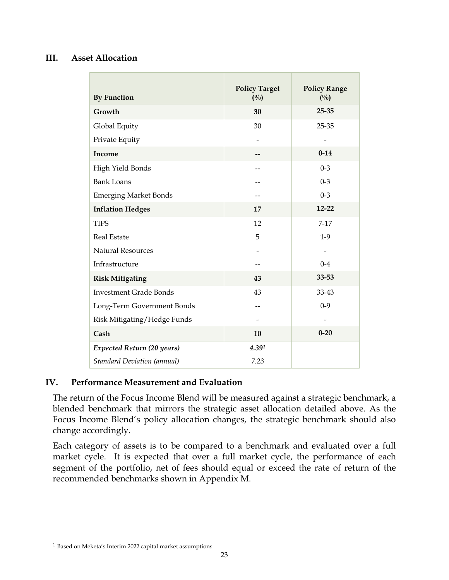### **III. Asset Allocation**

| <b>By Function</b>                 | <b>Policy Target</b><br>(0/0) | <b>Policy Range</b><br>$(^{0}/_{0})$ |
|------------------------------------|-------------------------------|--------------------------------------|
| Growth                             | 30                            | $25 - 35$                            |
| Global Equity                      | 30                            | 25-35                                |
| Private Equity                     |                               |                                      |
| Income                             |                               | $0 - 14$                             |
| High Yield Bonds                   |                               | $0 - 3$                              |
| <b>Bank Loans</b>                  |                               | $0 - 3$                              |
| <b>Emerging Market Bonds</b>       |                               | $0 - 3$                              |
| <b>Inflation Hedges</b>            | 17                            | $12 - 22$                            |
| <b>TIPS</b>                        | 12                            | $7-17$                               |
| <b>Real Estate</b>                 | 5                             | $1-9$                                |
| <b>Natural Resources</b>           |                               |                                      |
| Infrastructure                     |                               | $0 - 4$                              |
| <b>Risk Mitigating</b>             | 43                            | 33-53                                |
| <b>Investment Grade Bonds</b>      | 43                            | 33-43                                |
| Long-Term Government Bonds         |                               | $0 - 9$                              |
| Risk Mitigating/Hedge Funds        |                               |                                      |
| Cash                               | 10                            | $0 - 20$                             |
| <b>Expected Return (20 years)</b>  | 4.391                         |                                      |
| <b>Standard Deviation (annual)</b> | 7.23                          |                                      |

### **IV. Performance Measurement and Evaluation**

The return of the Focus Income Blend will be measured against a strategic benchmark, a blended benchmark that mirrors the strategic asset allocation detailed above. As the Focus Income Blend's policy allocation changes, the strategic benchmark should also change accordingly.

Each category of assets is to be compared to a benchmark and evaluated over a full market cycle. It is expected that over a full market cycle, the performance of each segment of the portfolio, net of fees should equal or exceed the rate of return of the recommended benchmarks shown in Appendix M.

<span id="page-24-0"></span><sup>1</sup> Based on Meketa's Interim 2022 capital market assumptions.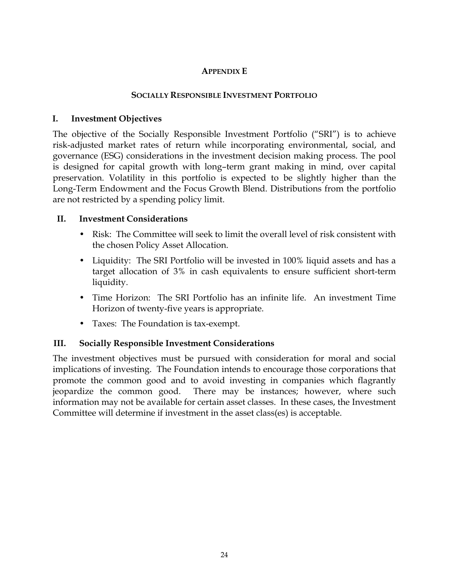### **APPENDIX E**

### **SOCIALLY RESPONSIBLE INVESTMENT PORTFOLIO**

### **I. Investment Objectives**

The objective of the Socially Responsible Investment Portfolio ("SRI") is to achieve risk-adjusted market rates of return while incorporating environmental, social, and governance (ESG) considerations in the investment decision making process. The pool is designed for capital growth with long–term grant making in mind, over capital preservation. Volatility in this portfolio is expected to be slightly higher than the Long-Term Endowment and the Focus Growth Blend. Distributions from the portfolio are not restricted by a spending policy limit.

### **II. Investment Considerations**

- Risk: The Committee will seek to limit the overall level of risk consistent with the chosen Policy Asset Allocation.
- Liquidity: The SRI Portfolio will be invested in 100% liquid assets and has a target allocation of 3% in cash equivalents to ensure sufficient short-term liquidity.
- Time Horizon: The SRI Portfolio has an infinite life. An investment Time Horizon of twenty-five years is appropriate.
- Taxes: The Foundation is tax-exempt.

### **III. Socially Responsible Investment Considerations**

The investment objectives must be pursued with consideration for moral and social implications of investing. The Foundation intends to encourage those corporations that promote the common good and to avoid investing in companies which flagrantly jeopardize the common good. There may be instances; however, where such information may not be available for certain asset classes. In these cases, the Investment Committee will determine if investment in the asset class(es) is acceptable.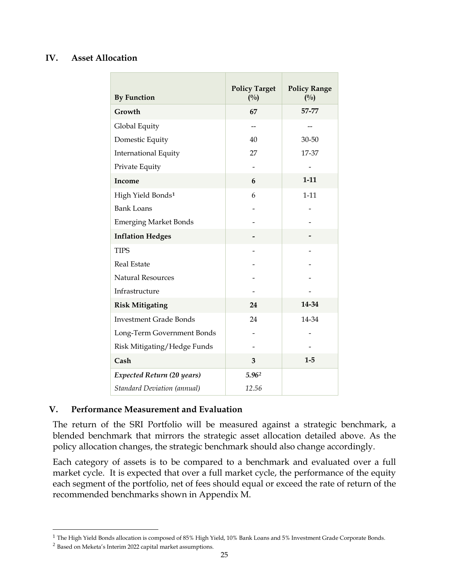#### **IV. Asset Allocation**

| <b>By Function</b>                 | <b>Policy Target</b><br>(0/0) | <b>Policy Range</b><br>(0/0) |
|------------------------------------|-------------------------------|------------------------------|
| Growth                             | 67                            | 57-77                        |
| Global Equity                      |                               |                              |
| Domestic Equity                    | 40                            | 30-50                        |
| <b>International Equity</b>        | 27                            | 17-37                        |
| Private Equity                     |                               |                              |
| Income                             | 6                             | $1 - 11$                     |
| High Yield Bonds <sup>1</sup>      | 6                             | $1 - 11$                     |
| <b>Bank Loans</b>                  |                               |                              |
| <b>Emerging Market Bonds</b>       |                               |                              |
| <b>Inflation Hedges</b>            |                               |                              |
| <b>TIPS</b>                        |                               |                              |
| <b>Real Estate</b>                 |                               |                              |
| <b>Natural Resources</b>           |                               |                              |
| Infrastructure                     |                               |                              |
| <b>Risk Mitigating</b>             | 24                            | 14-34                        |
| <b>Investment Grade Bonds</b>      | 24                            | 14-34                        |
| Long-Term Government Bonds         |                               |                              |
| Risk Mitigating/Hedge Funds        |                               |                              |
| Cash                               | 3                             | $1-5$                        |
| <b>Expected Return (20 years)</b>  | 5.962                         |                              |
| <b>Standard Deviation (annual)</b> | 12.56                         |                              |

#### **V. Performance Measurement and Evaluation**

The return of the SRI Portfolio will be measured against a strategic benchmark, a blended benchmark that mirrors the strategic asset allocation detailed above. As the policy allocation changes, the strategic benchmark should also change accordingly.

Each category of assets is to be compared to a benchmark and evaluated over a full market cycle. It is expected that over a full market cycle, the performance of the equity each segment of the portfolio, net of fees should equal or exceed the rate of return of the recommended benchmarks shown in Appendix M.

<span id="page-26-0"></span> $^1$  The High Yield Bonds allocation is composed of 85% High Yield, 10% Bank Loans and 5% Investment Grade Corporate Bonds.

<span id="page-26-1"></span> $^2$  Based on Meketa's Interim 2022 capital market assumptions.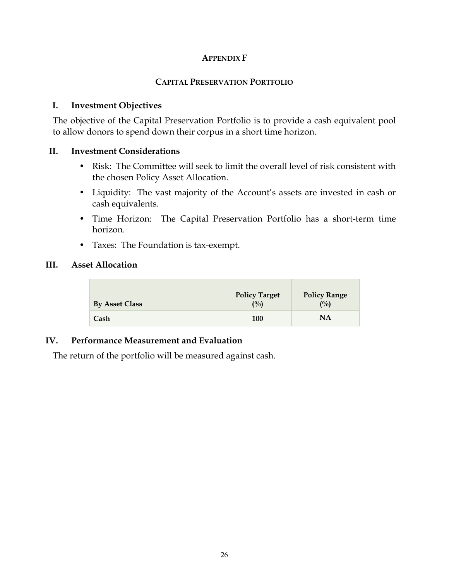#### **APPENDIX F**

#### **CAPITAL PRESERVATION PORTFOLIO**

#### **I. Investment Objectives**

The objective of the Capital Preservation Portfolio is to provide a cash equivalent pool to allow donors to spend down their corpus in a short time horizon.

#### **II. Investment Considerations**

- Risk: The Committee will seek to limit the overall level of risk consistent with the chosen Policy Asset Allocation.
- Liquidity: The vast majority of the Account's assets are invested in cash or cash equivalents.
- Time Horizon: The Capital Preservation Portfolio has a short-term time horizon.
- Taxes: The Foundation is tax-exempt.

#### **III. Asset Allocation**

| <b>By Asset Class</b> | <b>Policy Target</b><br>$($ %) | <b>Policy Range</b><br>(0/0) |
|-----------------------|--------------------------------|------------------------------|
| Cash                  | <b>100</b>                     | NA                           |

#### **IV. Performance Measurement and Evaluation**

The return of the portfolio will be measured against cash.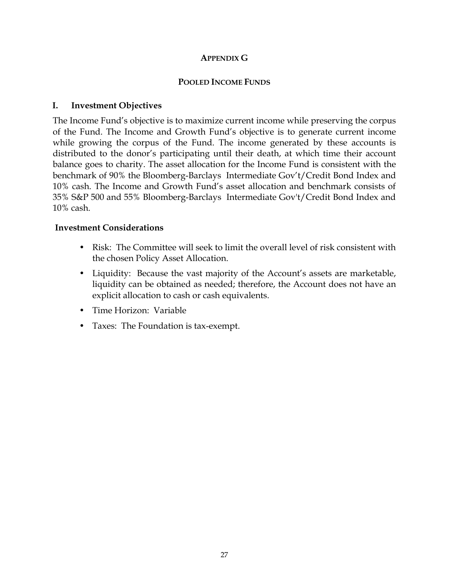### **APPENDIX G**

#### **POOLED INCOME FUNDS**

### **I. Investment Objectives**

The Income Fund's objective is to maximize current income while preserving the corpus of the Fund. The Income and Growth Fund's objective is to generate current income while growing the corpus of the Fund. The income generated by these accounts is distributed to the donor's participating until their death, at which time their account balance goes to charity. The asset allocation for the Income Fund is consistent with the benchmark of 90% the Bloomberg-Barclays Intermediate Gov't/Credit Bond Index and 10% cash. The Income and Growth Fund's asset allocation and benchmark consists of 35% S&P 500 and 55% Bloomberg-Barclays Intermediate Gov't/Credit Bond Index and 10% cash.

### **Investment Considerations**

- Risk: The Committee will seek to limit the overall level of risk consistent with the chosen Policy Asset Allocation.
- Liquidity: Because the vast majority of the Account's assets are marketable, liquidity can be obtained as needed; therefore, the Account does not have an explicit allocation to cash or cash equivalents.
- Time Horizon: Variable
- Taxes: The Foundation is tax-exempt.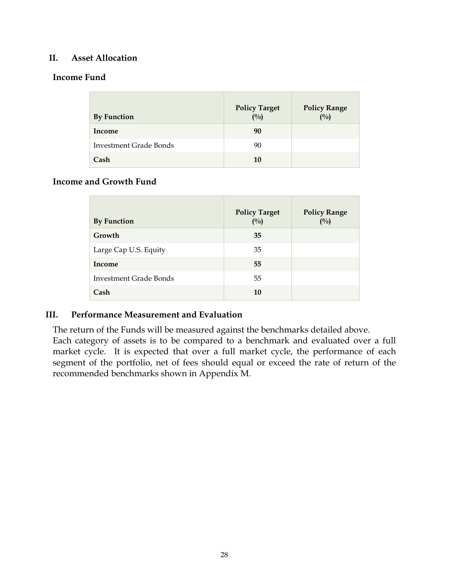#### **II. Asset Allocation**

#### **Income Fund**

| <b>By Function</b>     | <b>Policy Target</b><br>(%) | <b>Policy Range</b><br>(%) |
|------------------------|-----------------------------|----------------------------|
| Income                 | 90                          |                            |
| Investment Grade Bonds | 90                          |                            |
| Cash                   | 10                          |                            |

#### **Income and Growth Fund**

| <b>By Function</b>     | <b>Policy Target</b><br>$($ %) | <b>Policy Range</b><br>(%) |
|------------------------|--------------------------------|----------------------------|
| Growth                 | 35                             |                            |
| Large Cap U.S. Equity  | 35                             |                            |
| Income                 | 55                             |                            |
| Investment Grade Bonds | 55                             |                            |
| Cash                   | 10                             |                            |

#### **III. Performance Measurement and Evaluation**

The return of the Funds will be measured against the benchmarks detailed above. Each category of assets is to be compared to a benchmark and evaluated over a full market cycle. It is expected that over a full market cycle, the performance of each segment of the portfolio, net of fees should equal or exceed the rate of return of the recommended benchmarks shown in Appendix M.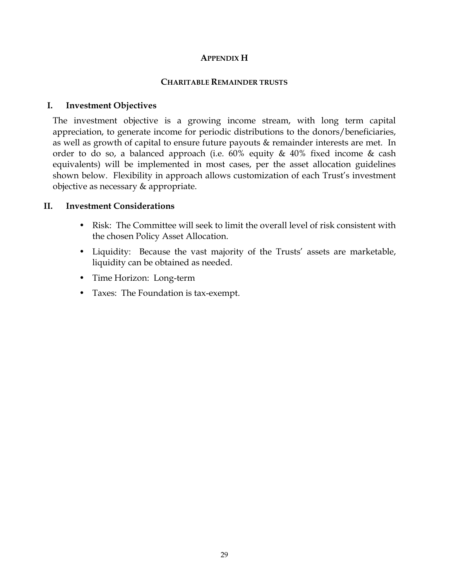#### **APPENDIX H**

#### **CHARITABLE REMAINDER TRUSTS**

#### **I. Investment Objectives**

The investment objective is a growing income stream, with long term capital appreciation, to generate income for periodic distributions to the donors/beneficiaries, as well as growth of capital to ensure future payouts & remainder interests are met. In order to do so, a balanced approach (i.e.  $60\%$  equity  $\&$  40% fixed income  $\&$  cash equivalents) will be implemented in most cases, per the asset allocation guidelines shown below. Flexibility in approach allows customization of each Trust's investment objective as necessary & appropriate.

#### **II. Investment Considerations**

- Risk: The Committee will seek to limit the overall level of risk consistent with the chosen Policy Asset Allocation.
- Liquidity: Because the vast majority of the Trusts' assets are marketable, liquidity can be obtained as needed.
- Time Horizon: Long-term
- Taxes: The Foundation is tax-exempt.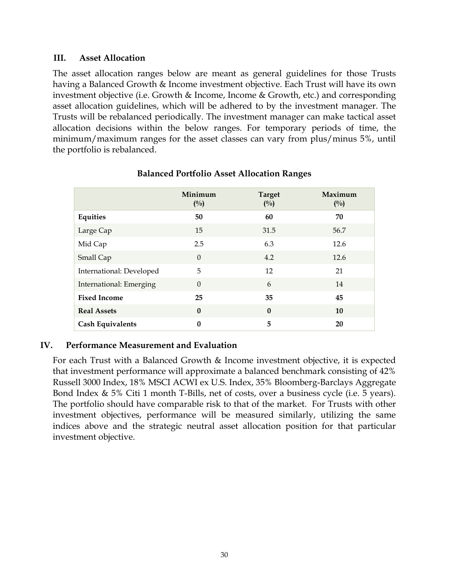#### **III. Asset Allocation**

The asset allocation ranges below are meant as general guidelines for those Trusts having a Balanced Growth & Income investment objective. Each Trust will have its own investment objective (i.e. Growth & Income, Income & Growth, etc.) and corresponding asset allocation guidelines, which will be adhered to by the investment manager. The Trusts will be rebalanced periodically. The investment manager can make tactical asset allocation decisions within the below ranges. For temporary periods of time, the minimum/maximum ranges for the asset classes can vary from plus/minus 5%, until the portfolio is rebalanced.

|                          | Minimum<br>(0/0) | <b>Target</b><br>(0/0) | Maximum<br>$(^{0}/_{0})$ |
|--------------------------|------------------|------------------------|--------------------------|
| Equities                 | 50               | 60                     | 70                       |
| Large Cap                | 15               | 31.5                   | 56.7                     |
| Mid Cap                  | 2.5              | 6.3                    | 12.6                     |
| Small Cap                | $\Omega$         | 4.2                    | 12.6                     |
| International: Developed | 5                | 12                     | 21                       |
| International: Emerging  | $\Omega$         | 6                      | 14                       |
| <b>Fixed Income</b>      | 25               | 35                     | 45                       |
| <b>Real Assets</b>       | $\mathbf{0}$     | $\mathbf{0}$           | 10                       |
| <b>Cash Equivalents</b>  | $\boldsymbol{0}$ | 5                      | 20                       |

#### **Balanced Portfolio Asset Allocation Ranges**

#### **IV. Performance Measurement and Evaluation**

For each Trust with a Balanced Growth & Income investment objective, it is expected that investment performance will approximate a balanced benchmark consisting of 42% Russell 3000 Index, 18% MSCI ACWI ex U.S. Index, 35% Bloomberg-Barclays Aggregate Bond Index & 5% Citi 1 month T-Bills, net of costs, over a business cycle (i.e. 5 years). The portfolio should have comparable risk to that of the market. For Trusts with other investment objectives, performance will be measured similarly, utilizing the same indices above and the strategic neutral asset allocation position for that particular investment objective.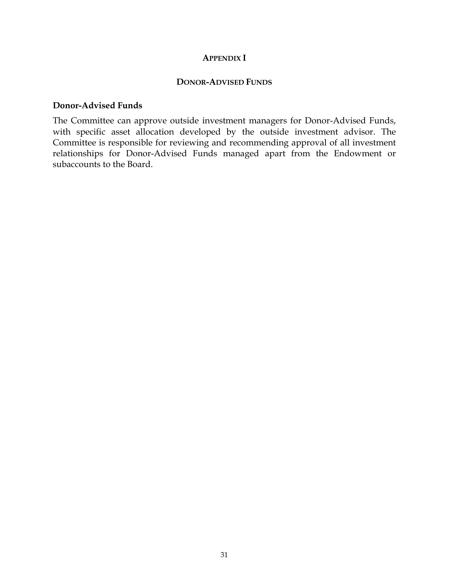#### **APPENDIX I**

#### **DONOR-ADVISED FUNDS**

#### **Donor-Advised Funds**

The Committee can approve outside investment managers for Donor-Advised Funds, with specific asset allocation developed by the outside investment advisor. The Committee is responsible for reviewing and recommending approval of all investment relationships for Donor-Advised Funds managed apart from the Endowment or subaccounts to the Board.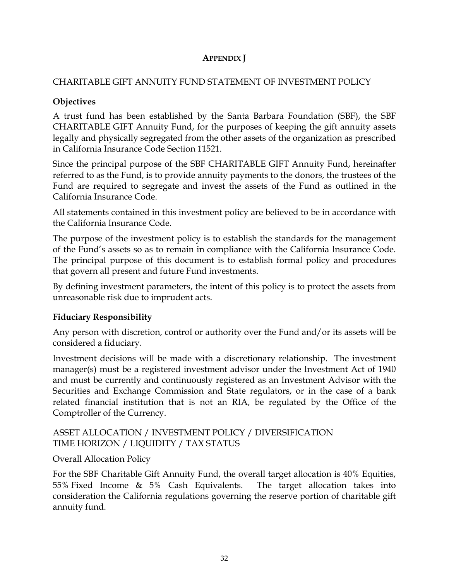# **APPENDIX J**

### CHARITABLE GIFT ANNUITY FUND STATEMENT OF INVESTMENT POLICY

### **Objectives**

A trust fund has been established by the Santa Barbara Foundation (SBF), the SBF CHARITABLE GIFT Annuity Fund, for the purposes of keeping the gift annuity assets legally and physically segregated from the other assets of the organization as prescribed in California Insurance Code Section 11521.

Since the principal purpose of the SBF CHARITABLE GIFT Annuity Fund, hereinafter referred to as the Fund, is to provide annuity payments to the donors, the trustees of the Fund are required to segregate and invest the assets of the Fund as outlined in the California Insurance Code.

All statements contained in this investment policy are believed to be in accordance with the California Insurance Code.

The purpose of the investment policy is to establish the standards for the management of the Fund's assets so as to remain in compliance with the California Insurance Code. The principal purpose of this document is to establish formal policy and procedures that govern all present and future Fund investments.

By defining investment parameters, the intent of this policy is to protect the assets from unreasonable risk due to imprudent acts.

### **Fiduciary Responsibility**

Any person with discretion, control or authority over the Fund and/or its assets will be considered a fiduciary.

Investment decisions will be made with a discretionary relationship. The investment manager(s) must be a registered investment advisor under the Investment Act of 1940 and must be currently and continuously registered as an Investment Advisor with the Securities and Exchange Commission and State regulators, or in the case of a bank related financial institution that is not an RIA, be regulated by the Office of the Comptroller of the Currency.

### ASSET ALLOCATION / INVESTMENT POLICY / DIVERSIFICATION TIME HORIZON / LIQUIDITY / TAX STATUS

# Overall Allocation Policy

For the SBF Charitable Gift Annuity Fund, the overall target allocation is 40% Equities, 55% Fixed Income & 5% Cash Equivalents. The target allocation takes into consideration the California regulations governing the reserve portion of charitable gift annuity fund.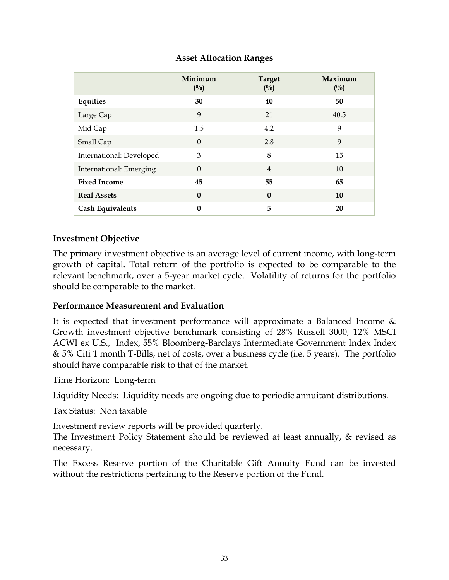### **Asset Allocation Ranges**

|                          | Minimum<br>$(^{0}/_{0})$ | <b>Target</b><br>$(^{0}/_{0})$ | Maximum<br>$(^{0}/_{0})$ |
|--------------------------|--------------------------|--------------------------------|--------------------------|
| Equities                 | 30                       | 40                             | 50                       |
| Large Cap                | 9                        | 21                             | 40.5                     |
| Mid Cap                  | 1.5                      | 4.2                            | 9                        |
| Small Cap                | $\theta$                 | 2.8                            | 9                        |
| International: Developed | 3                        | 8                              | 15                       |
| International: Emerging  | $\Omega$                 | $\overline{4}$                 | 10                       |
| <b>Fixed Income</b>      | 45                       | 55                             | 65                       |
| <b>Real Assets</b>       | $\mathbf{0}$             | $\mathbf{0}$                   | 10                       |
| <b>Cash Equivalents</b>  | $\boldsymbol{0}$         | 5                              | 20                       |

### **Investment Objective**

The primary investment objective is an average level of current income, with long-term growth of capital. Total return of the portfolio is expected to be comparable to the relevant benchmark, over a 5-year market cycle. Volatility of returns for the portfolio should be comparable to the market.

#### **Performance Measurement and Evaluation**

It is expected that investment performance will approximate a Balanced Income & Growth investment objective benchmark consisting of 28% Russell 3000, 12% MSCI ACWI ex U.S., Index, 55% Bloomberg-Barclays Intermediate Government Index Index & 5% Citi 1 month T-Bills, net of costs, over a business cycle (i.e. 5 years). The portfolio should have comparable risk to that of the market.

Time Horizon: Long-term

Liquidity Needs: Liquidity needs are ongoing due to periodic annuitant distributions.

Tax Status: Non taxable

Investment review reports will be provided quarterly.

The Investment Policy Statement should be reviewed at least annually, & revised as necessary.

The Excess Reserve portion of the Charitable Gift Annuity Fund can be invested without the restrictions pertaining to the Reserve portion of the Fund.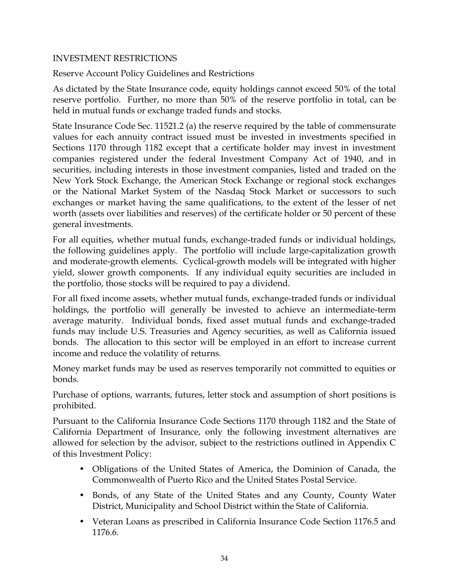### INVESTMENT RESTRICTIONS

Reserve Account Policy Guidelines and Restrictions

As dictated by the State Insurance code, equity holdings cannot exceed 50% of the total reserve portfolio. Further, no more than 50% of the reserve portfolio in total, can be held in mutual funds or exchange traded funds and stocks.

State Insurance Code Sec. 11521.2 (a) the reserve required by the table of commensurate values for each annuity contract issued must be invested in investments specified in Sections 1170 through 1182 except that a certificate holder may invest in investment companies registered under the federal Investment Company Act of 1940, and in securities, including interests in those investment companies, listed and traded on the New York Stock Exchange, the American Stock Exchange or regional stock exchanges or the National Market System of the Nasdaq Stock Market or successors to such exchanges or market having the same qualifications, to the extent of the lesser of net worth (assets over liabilities and reserves) of the certificate holder or 50 percent of these general investments.

For all equities, whether mutual funds, exchange-traded funds or individual holdings, the following guidelines apply. The portfolio will include large-capitalization growth and moderate-growth elements. Cyclical-growth models will be integrated with higher yield, slower growth components. If any individual equity securities are included in the portfolio, those stocks will be required to pay a dividend.

For all fixed income assets, whether mutual funds, exchange-traded funds or individual holdings, the portfolio will generally be invested to achieve an intermediate-term average maturity. Individual bonds, fixed asset mutual funds and exchange-traded funds may include U.S. Treasuries and Agency securities, as well as California issued bonds. The allocation to this sector will be employed in an effort to increase current income and reduce the volatility of returns.

Money market funds may be used as reserves temporarily not committed to equities or bonds.

Purchase of options, warrants, futures, letter stock and assumption of short positions is prohibited.

Pursuant to the California Insurance Code Sections 1170 through 1182 and the State of California Department of Insurance, only the following investment alternatives are allowed for selection by the advisor, subject to the restrictions outlined in Appendix C of this Investment Policy:

- Obligations of the United States of America, the Dominion of Canada, the Commonwealth of Puerto Rico and the United States Postal Service.
- Bonds, of any State of the United States and any County, County Water District, Municipality and School District within the State of California.
- Veteran Loans as prescribed in California Insurance Code Section 1176.5 and 1176.6.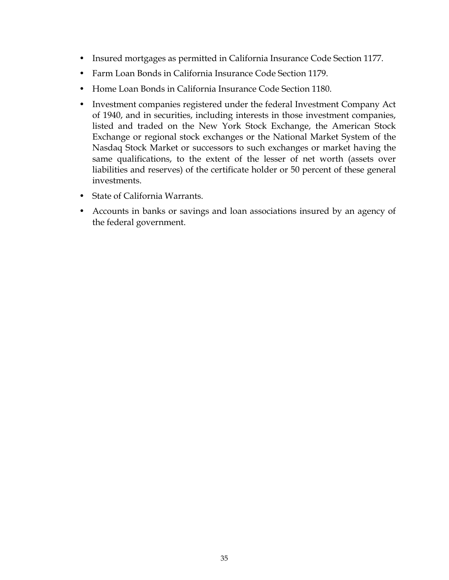- Insured mortgages as permitted in California Insurance Code Section 1177.
- Farm Loan Bonds in California Insurance Code Section 1179.
- Home Loan Bonds in California Insurance Code Section 1180.
- Investment companies registered under the federal Investment Company Act of 1940, and in securities, including interests in those investment companies, listed and traded on the New York Stock Exchange, the American Stock Exchange or regional stock exchanges or the National Market System of the Nasdaq Stock Market or successors to such exchanges or market having the same qualifications, to the extent of the lesser of net worth (assets over liabilities and reserves) of the certificate holder or 50 percent of these general investments.
- State of California Warrants.
- Accounts in banks or savings and loan associations insured by an agency of the federal government.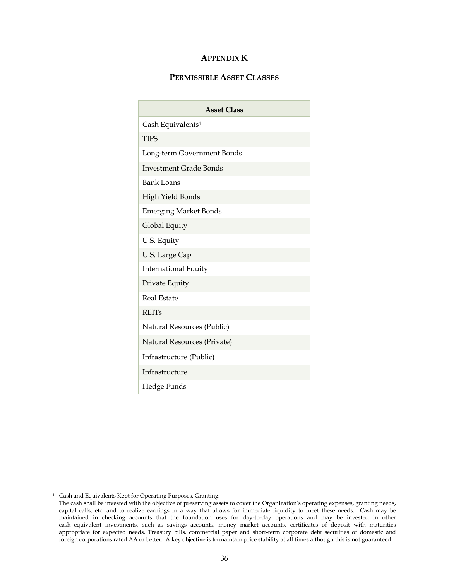#### **APPENDIX K**

#### **PERMISSIBLE ASSET CLASSES**

| <b>Asset Class</b>            |  |  |  |  |  |  |  |  |  |
|-------------------------------|--|--|--|--|--|--|--|--|--|
| Cash Equivalents <sup>1</sup> |  |  |  |  |  |  |  |  |  |
| <b>TIPS</b>                   |  |  |  |  |  |  |  |  |  |
| Long-term Government Bonds    |  |  |  |  |  |  |  |  |  |
| <b>Investment Grade Bonds</b> |  |  |  |  |  |  |  |  |  |
| <b>Bank Loans</b>             |  |  |  |  |  |  |  |  |  |
| <b>High Yield Bonds</b>       |  |  |  |  |  |  |  |  |  |
| <b>Emerging Market Bonds</b>  |  |  |  |  |  |  |  |  |  |
| Global Equity                 |  |  |  |  |  |  |  |  |  |
| U.S. Equity                   |  |  |  |  |  |  |  |  |  |
| U.S. Large Cap                |  |  |  |  |  |  |  |  |  |
| <b>International Equity</b>   |  |  |  |  |  |  |  |  |  |
| Private Equity                |  |  |  |  |  |  |  |  |  |
| Real Estate                   |  |  |  |  |  |  |  |  |  |
| <b>REITs</b>                  |  |  |  |  |  |  |  |  |  |
| Natural Resources (Public)    |  |  |  |  |  |  |  |  |  |
| Natural Resources (Private)   |  |  |  |  |  |  |  |  |  |
| Infrastructure (Public)       |  |  |  |  |  |  |  |  |  |
| Infrastructure                |  |  |  |  |  |  |  |  |  |
| Hedge Funds                   |  |  |  |  |  |  |  |  |  |

<span id="page-37-0"></span><sup>1</sup> Cash and Equivalents Kept for Operating Purposes, Granting:

The cash shall be invested with the objective of preserving assets to cover the Organization's operating expenses, granting needs, capital calls, etc. and to realize earnings in a way that allows for immediate liquidity to meet these needs. Cash may be maintained in checking accounts that the foundation uses for day-to-day operations and may be invested in other cash -equivalent investments, such as savings accounts, money market accounts, certificates of deposit with maturities appropriate for expected needs, Treasury bills, commercial paper and short-term corporate debt securities of domestic and foreign corporations rated AA or better. A key objective is to maintain price stability at all times although this is not guaranteed.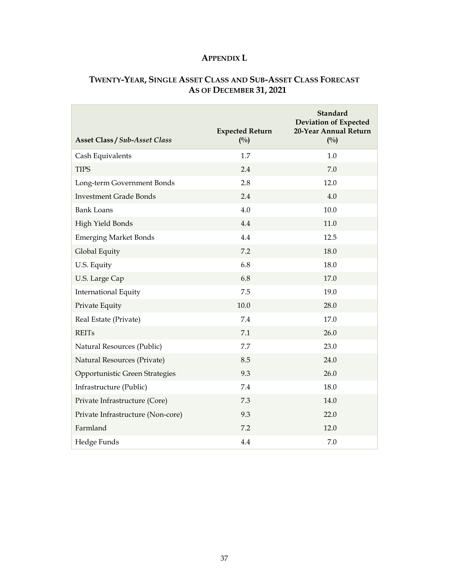### **APPENDIX L**

# **TWENTY-YEAR, SINGLE ASSET CLASS AND SUB-ASSET CLASS FORECAST AS OF DECEMBER 31, 2021**

| <b>Asset Class / Sub-Asset Class</b> | <b>Expected Return</b><br>$(^{0}/_{0})$ | <b>Standard</b><br><b>Deviation of Expected</b><br>20-Year Annual Return<br>(0/0) |
|--------------------------------------|-----------------------------------------|-----------------------------------------------------------------------------------|
| Cash Equivalents                     | 1.7                                     | 1.0                                                                               |
| <b>TIPS</b>                          | 2.4                                     | 7.0                                                                               |
| Long-term Government Bonds           | 2.8                                     | 12.0                                                                              |
| <b>Investment Grade Bonds</b>        | 2.4                                     | 4.0                                                                               |
| <b>Bank Loans</b>                    | 4.0                                     | 10.0                                                                              |
| High Yield Bonds                     | 4.4                                     | 11.0                                                                              |
| <b>Emerging Market Bonds</b>         | 4.4                                     | 12.5                                                                              |
| Global Equity                        | 7.2                                     | 18.0                                                                              |
| U.S. Equity                          | 6.8                                     | 18.0                                                                              |
| U.S. Large Cap                       | 6.8                                     | 17.0                                                                              |
| <b>International Equity</b>          | 7.5                                     | 19.0                                                                              |
| Private Equity                       | 10.0                                    | 28.0                                                                              |
| Real Estate (Private)                | 7.4                                     | 17.0                                                                              |
| <b>REITs</b>                         | 7.1                                     | 26.0                                                                              |
| Natural Resources (Public)           | 7.7                                     | 23.0                                                                              |
| Natural Resources (Private)          | 8.5                                     | 24.0                                                                              |
| Opportunistic Green Strategies       | 9.3                                     | 26.0                                                                              |
| Infrastructure (Public)              | 7.4                                     | 18.0                                                                              |
| Private Infrastructure (Core)        | 7.3                                     | 14.0                                                                              |
| Private Infrastructure (Non-core)    | 9.3                                     | 22.0                                                                              |
| Farmland                             | 7.2                                     | 12.0                                                                              |
| Hedge Funds                          | 4.4                                     | 7.0                                                                               |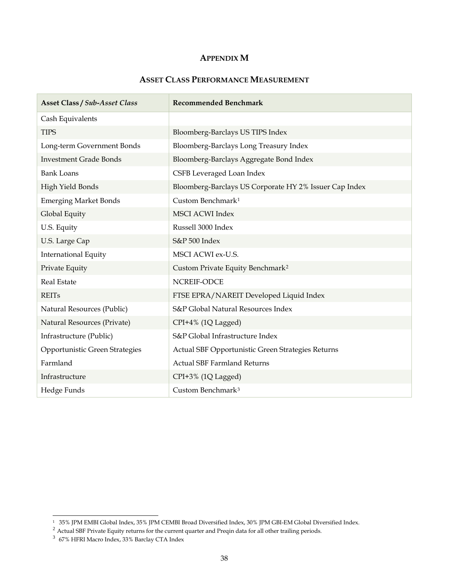#### **APPENDIX M**

#### **ASSET CLASS PERFORMANCE MEASUREMENT**

| <b>Asset Class / Sub-Asset Class</b> | <b>Recommended Benchmark</b>                           |  |  |  |  |  |  |  |
|--------------------------------------|--------------------------------------------------------|--|--|--|--|--|--|--|
| Cash Equivalents                     |                                                        |  |  |  |  |  |  |  |
| <b>TIPS</b>                          | Bloomberg-Barclays US TIPS Index                       |  |  |  |  |  |  |  |
| Long-term Government Bonds           | Bloomberg-Barclays Long Treasury Index                 |  |  |  |  |  |  |  |
| <b>Investment Grade Bonds</b>        | Bloomberg-Barclays Aggregate Bond Index                |  |  |  |  |  |  |  |
| <b>Bank Loans</b>                    | CSFB Leveraged Loan Index                              |  |  |  |  |  |  |  |
| High Yield Bonds                     | Bloomberg-Barclays US Corporate HY 2% Issuer Cap Index |  |  |  |  |  |  |  |
| <b>Emerging Market Bonds</b>         | Custom Benchmark <sup>1</sup>                          |  |  |  |  |  |  |  |
| Global Equity                        | <b>MSCI ACWI Index</b>                                 |  |  |  |  |  |  |  |
| U.S. Equity                          | Russell 3000 Index                                     |  |  |  |  |  |  |  |
| U.S. Large Cap                       | S&P 500 Index                                          |  |  |  |  |  |  |  |
| <b>International Equity</b>          | MSCI ACWI ex-U.S.                                      |  |  |  |  |  |  |  |
| Private Equity                       | Custom Private Equity Benchmark <sup>2</sup>           |  |  |  |  |  |  |  |
| <b>Real Estate</b>                   | NCREIF-ODCE                                            |  |  |  |  |  |  |  |
| <b>REITs</b>                         | FTSE EPRA/NAREIT Developed Liquid Index                |  |  |  |  |  |  |  |
| Natural Resources (Public)           | S&P Global Natural Resources Index                     |  |  |  |  |  |  |  |
| Natural Resources (Private)          | CPI+4% (1Q Lagged)                                     |  |  |  |  |  |  |  |
| Infrastructure (Public)              | S&P Global Infrastructure Index                        |  |  |  |  |  |  |  |
| Opportunistic Green Strategies       | Actual SBF Opportunistic Green Strategies Returns      |  |  |  |  |  |  |  |
| Farmland                             | <b>Actual SBF Farmland Returns</b>                     |  |  |  |  |  |  |  |
| Infrastructure                       | CPI+3% (1Q Lagged)                                     |  |  |  |  |  |  |  |
| Hedge Funds                          | Custom Benchmark <sup>3</sup>                          |  |  |  |  |  |  |  |

<span id="page-39-0"></span><sup>1 35%</sup> JPM EMBI Global Index, 35% JPM CEMBI Broad Diversified Index, 30% JPM GBI-EM Global Diversified Index.

<span id="page-39-1"></span><sup>&</sup>lt;sup>2</sup> Actual SBF Private Equity returns for the current quarter and Preqin data for all other trailing periods.

<span id="page-39-2"></span><sup>3</sup> 67% HFRI Macro Index, 33% Barclay CTA Index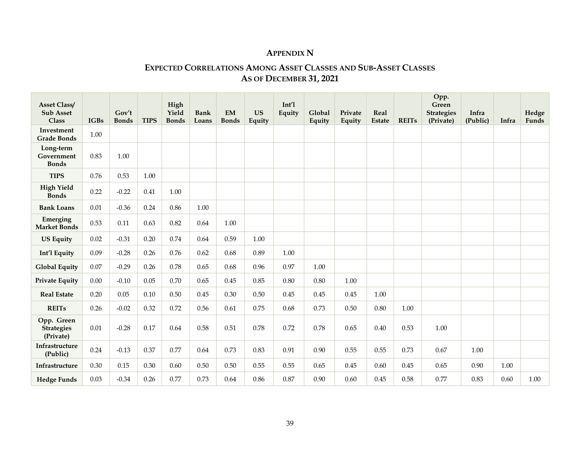### **APPENDIX N**

### **EXPECTED CORRELATIONS AMONG ASSET CLASSES AND SUB-ASSET CLASSES AS OF DECEMBER 31, 2021**

| <b>Asset Class/</b><br><b>Sub Asset</b><br><b>Class</b> | <b>IGBs</b> | Gov't<br><b>Bonds</b> | <b>TIPS</b> | High<br>Yield<br><b>Bonds</b> | <b>Bank</b><br>Loans | <b>EM</b><br><b>Bonds</b> | <b>US</b><br>Equity | Int'1<br>Equity | Global<br>Equity | Private<br>Equity | Real<br><b>Estate</b> | <b>REITs</b> | Opp.<br>Green<br><b>Strategies</b><br>(Private) | Infra<br>(Public) | Infra | Hedge<br>Funds |
|---------------------------------------------------------|-------------|-----------------------|-------------|-------------------------------|----------------------|---------------------------|---------------------|-----------------|------------------|-------------------|-----------------------|--------------|-------------------------------------------------|-------------------|-------|----------------|
| Investment<br><b>Grade Bonds</b>                        | 1.00        |                       |             |                               |                      |                           |                     |                 |                  |                   |                       |              |                                                 |                   |       |                |
| Long-term<br>Government<br><b>Bonds</b>                 | 0.83        | 1.00                  |             |                               |                      |                           |                     |                 |                  |                   |                       |              |                                                 |                   |       |                |
| <b>TIPS</b>                                             | 0.76        | 0.53                  | 1.00        |                               |                      |                           |                     |                 |                  |                   |                       |              |                                                 |                   |       |                |
| <b>High Yield</b><br><b>Bonds</b>                       | 0.22        | $-0.22$               | 0.41        | 1.00                          |                      |                           |                     |                 |                  |                   |                       |              |                                                 |                   |       |                |
| <b>Bank Loans</b>                                       | 0.01        | $-0.36$               | 0.24        | 0.86                          | 1.00                 |                           |                     |                 |                  |                   |                       |              |                                                 |                   |       |                |
| Emerging<br><b>Market Bonds</b>                         | 0.53        | 0.11                  | 0.63        | 0.82                          | 0.64                 | 1.00                      |                     |                 |                  |                   |                       |              |                                                 |                   |       |                |
| <b>US Equity</b>                                        | 0.02        | $-0.31$               | 0.20        | 0.74                          | 0.64                 | 0.59                      | 1.00                |                 |                  |                   |                       |              |                                                 |                   |       |                |
| Int'l Equity                                            | 0.09        | $-0.28$               | 0.26        | 0.76                          | 0.62                 | 0.68                      | 0.89                | 1.00            |                  |                   |                       |              |                                                 |                   |       |                |
| <b>Global Equity</b>                                    | 0.07        | $-0.29$               | 0.26        | 0.78                          | 0.65                 | 0.68                      | 0.96                | 0.97            | 1.00             |                   |                       |              |                                                 |                   |       |                |
| <b>Private Equity</b>                                   | 0.00        | $-0.10$               | 0.05        | 0.70                          | 0.65                 | 0.45                      | 0.85                | 0.80            | 0.80             | 1.00              |                       |              |                                                 |                   |       |                |
| <b>Real Estate</b>                                      | 0.20        | 0.05                  | 0.10        | 0.50                          | 0.45                 | 0.30                      | 0.50                | 0.45            | 0.45             | 0.45              | 1.00                  |              |                                                 |                   |       |                |
| <b>REITs</b>                                            | 0.26        | $-0.02$               | 0.32        | 0.72                          | 0.56                 | 0.61                      | 0.75                | 0.68            | 0.73             | 0.50              | 0.80                  | 1.00         |                                                 |                   |       |                |
| Opp. Green<br><b>Strategies</b><br>(Private)            | 0.01        | $-0.28$               | 0.17        | 0.64                          | 0.58                 | 0.51                      | 0.78                | 0.72            | 0.78             | 0.65              | 0.40                  | 0.53         | 1.00                                            |                   |       |                |
| Infrastructure<br>(Public)                              | 0.24        | $-0.13$               | 0.37        | 0.77                          | 0.64                 | 0.73                      | 0.83                | 0.91            | 0.90             | 0.55              | 0.55                  | 0.73         | 0.67                                            | 1.00              |       |                |
| Infrastructure                                          | 0.30        | 0.15                  | 0.30        | 0.60                          | 0.50                 | 0.50                      | 0.55                | 0.55            | 0.65             | 0.45              | 0.60                  | 0.45         | 0.65                                            | 0.90              | 1.00  |                |
| <b>Hedge Funds</b>                                      | 0.03        | $-0.34$               | 0.26        | 0.77                          | 0.73                 | 0.64                      | 0.86                | 0.87            | 0.90             | 0.60              | 0.45                  | 0.58         | 0.77                                            | 0.83              | 0.60  | 1.00           |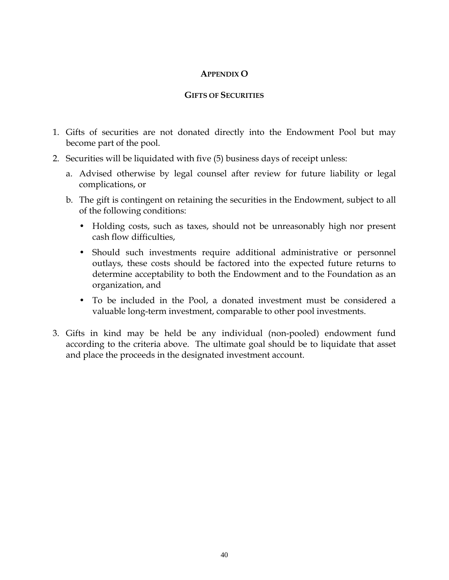### **APPENDIX O**

#### **GIFTS OF SECURITIES**

- 1. Gifts of securities are not donated directly into the Endowment Pool but may become part of the pool.
- 2. Securities will be liquidated with five (5) business days of receipt unless:
	- a. Advised otherwise by legal counsel after review for future liability or legal complications, or
	- b. The gift is contingent on retaining the securities in the Endowment, subject to all of the following conditions:
		- Holding costs, such as taxes, should not be unreasonably high nor present cash flow difficulties,
		- Should such investments require additional administrative or personnel outlays, these costs should be factored into the expected future returns to determine acceptability to both the Endowment and to the Foundation as an organization, and
		- To be included in the Pool, a donated investment must be considered a valuable long-term investment, comparable to other pool investments.
- 3. Gifts in kind may be held be any individual (non-pooled) endowment fund according to the criteria above. The ultimate goal should be to liquidate that asset and place the proceeds in the designated investment account.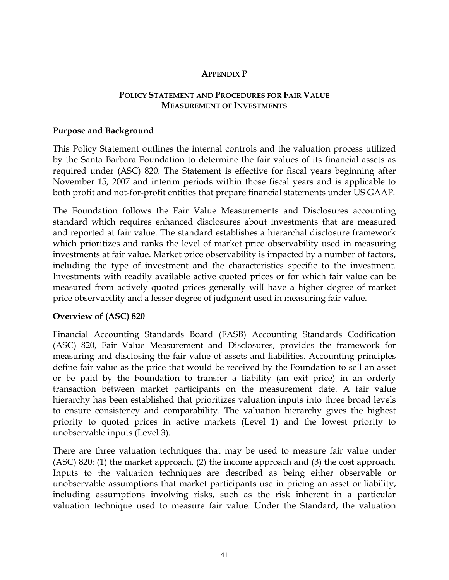#### **APPENDIX P**

### **POLICY STATEMENT AND PROCEDURES FOR FAIR VALUE MEASUREMENT OF INVESTMENTS**

#### **Purpose and Background**

This Policy Statement outlines the internal controls and the valuation process utilized by the Santa Barbara Foundation to determine the fair values of its financial assets as required under (ASC) 820. The Statement is effective for fiscal years beginning after November 15, 2007 and interim periods within those fiscal years and is applicable to both profit and not-for-profit entities that prepare financial statements under US GAAP.

The Foundation follows the Fair Value Measurements and Disclosures accounting standard which requires enhanced disclosures about investments that are measured and reported at fair value. The standard establishes a hierarchal disclosure framework which prioritizes and ranks the level of market price observability used in measuring investments at fair value. Market price observability is impacted by a number of factors, including the type of investment and the characteristics specific to the investment. Investments with readily available active quoted prices or for which fair value can be measured from actively quoted prices generally will have a higher degree of market price observability and a lesser degree of judgment used in measuring fair value.

#### **Overview of (ASC) 820**

Financial Accounting Standards Board (FASB) Accounting Standards Codification (ASC) 820, Fair Value Measurement and Disclosures, provides the framework for measuring and disclosing the fair value of assets and liabilities. Accounting principles define fair value as the price that would be received by the Foundation to sell an asset or be paid by the Foundation to transfer a liability (an exit price) in an orderly transaction between market participants on the measurement date. A fair value hierarchy has been established that prioritizes valuation inputs into three broad levels to ensure consistency and comparability. The valuation hierarchy gives the highest priority to quoted prices in active markets (Level 1) and the lowest priority to unobservable inputs (Level 3).

There are three valuation techniques that may be used to measure fair value under (ASC) 820: (1) the market approach, (2) the income approach and (3) the cost approach. Inputs to the valuation techniques are described as being either observable or unobservable assumptions that market participants use in pricing an asset or liability, including assumptions involving risks, such as the risk inherent in a particular valuation technique used to measure fair value. Under the Standard, the valuation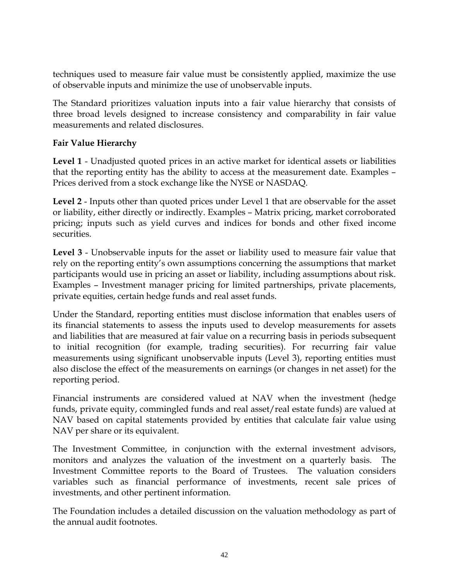techniques used to measure fair value must be consistently applied, maximize the use of observable inputs and minimize the use of unobservable inputs.

The Standard prioritizes valuation inputs into a fair value hierarchy that consists of three broad levels designed to increase consistency and comparability in fair value measurements and related disclosures.

### **Fair Value Hierarchy**

**Level 1** - Unadjusted quoted prices in an active market for identical assets or liabilities that the reporting entity has the ability to access at the measurement date. Examples – Prices derived from a stock exchange like the NYSE or NASDAQ.

**Level 2** - Inputs other than quoted prices under Level 1 that are observable for the asset or liability, either directly or indirectly. Examples – Matrix pricing, market corroborated pricing; inputs such as yield curves and indices for bonds and other fixed income securities.

**Level 3** - Unobservable inputs for the asset or liability used to measure fair value that rely on the reporting entity's own assumptions concerning the assumptions that market participants would use in pricing an asset or liability, including assumptions about risk. Examples – Investment manager pricing for limited partnerships, private placements, private equities, certain hedge funds and real asset funds.

Under the Standard, reporting entities must disclose information that enables users of its financial statements to assess the inputs used to develop measurements for assets and liabilities that are measured at fair value on a recurring basis in periods subsequent to initial recognition (for example, trading securities). For recurring fair value measurements using significant unobservable inputs (Level 3), reporting entities must also disclose the effect of the measurements on earnings (or changes in net asset) for the reporting period.

Financial instruments are considered valued at NAV when the investment (hedge funds, private equity, commingled funds and real asset/real estate funds) are valued at NAV based on capital statements provided by entities that calculate fair value using NAV per share or its equivalent.

The Investment Committee, in conjunction with the external investment advisors, monitors and analyzes the valuation of the investment on a quarterly basis. The Investment Committee reports to the Board of Trustees. The valuation considers variables such as financial performance of investments, recent sale prices of investments, and other pertinent information.

The Foundation includes a detailed discussion on the valuation methodology as part of the annual audit footnotes.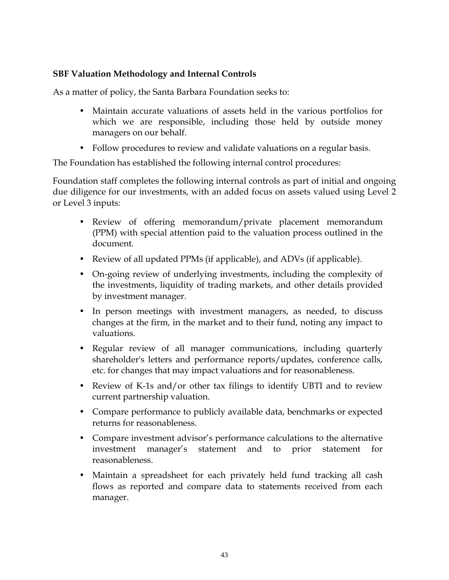### **SBF Valuation Methodology and Internal Controls**

As a matter of policy, the Santa Barbara Foundation seeks to:

- Maintain accurate valuations of assets held in the various portfolios for which we are responsible, including those held by outside money managers on our behalf.
- Follow procedures to review and validate valuations on a regular basis.

The Foundation has established the following internal control procedures:

Foundation staff completes the following internal controls as part of initial and ongoing due diligence for our investments, with an added focus on assets valued using Level 2 or Level 3 inputs:

- Review of offering memorandum/private placement memorandum (PPM) with special attention paid to the valuation process outlined in the document.
- Review of all updated PPMs (if applicable), and ADVs (if applicable).
- On-going review of underlying investments, including the complexity of the investments, liquidity of trading markets, and other details provided by investment manager.
- In person meetings with investment managers, as needed, to discuss changes at the firm, in the market and to their fund, noting any impact to valuations.
- Regular review of all manager communications, including quarterly shareholder's letters and performance reports/updates, conference calls, etc. for changes that may impact valuations and for reasonableness.
- Review of K-1s and/or other tax filings to identify UBTI and to review current partnership valuation.
- Compare performance to publicly available data, benchmarks or expected returns for reasonableness.
- Compare investment advisor's performance calculations to the alternative investment manager's statement and to prior statement for reasonableness.
- Maintain a spreadsheet for each privately held fund tracking all cash flows as reported and compare data to statements received from each manager.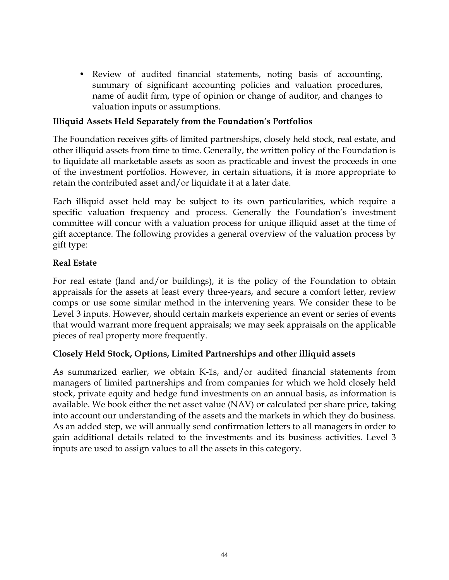• Review of audited financial statements, noting basis of accounting, summary of significant accounting policies and valuation procedures, name of audit firm, type of opinion or change of auditor, and changes to valuation inputs or assumptions.

### **Illiquid Assets Held Separately from the Foundation's Portfolios**

The Foundation receives gifts of limited partnerships, closely held stock, real estate, and other illiquid assets from time to time. Generally, the written policy of the Foundation is to liquidate all marketable assets as soon as practicable and invest the proceeds in one of the investment portfolios. However, in certain situations, it is more appropriate to retain the contributed asset and/or liquidate it at a later date.

Each illiquid asset held may be subject to its own particularities, which require a specific valuation frequency and process. Generally the Foundation's investment committee will concur with a valuation process for unique illiquid asset at the time of gift acceptance. The following provides a general overview of the valuation process by gift type:

### **Real Estate**

For real estate (land and/or buildings), it is the policy of the Foundation to obtain appraisals for the assets at least every three-years, and secure a comfort letter, review comps or use some similar method in the intervening years. We consider these to be Level 3 inputs. However, should certain markets experience an event or series of events that would warrant more frequent appraisals; we may seek appraisals on the applicable pieces of real property more frequently.

### **Closely Held Stock, Options, Limited Partnerships and other illiquid assets**

As summarized earlier, we obtain K-1s, and/or audited financial statements from managers of limited partnerships and from companies for which we hold closely held stock, private equity and hedge fund investments on an annual basis, as information is available. We book either the net asset value (NAV) or calculated per share price, taking into account our understanding of the assets and the markets in which they do business. As an added step, we will annually send confirmation letters to all managers in order to gain additional details related to the investments and its business activities. Level 3 inputs are used to assign values to all the assets in this category.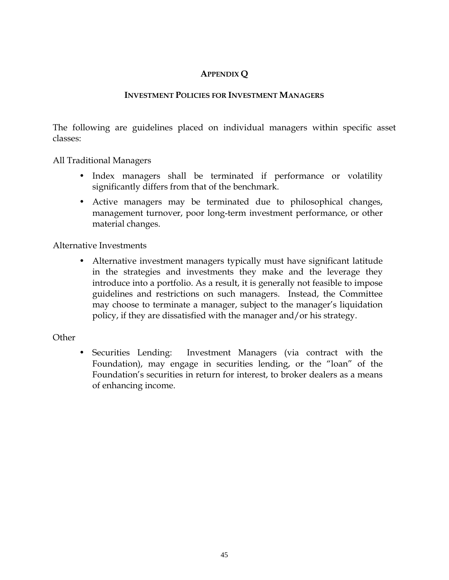# **APPENDIX Q**

### **INVESTMENT POLICIES FOR INVESTMENT MANAGERS**

The following are guidelines placed on individual managers within specific asset classes:

All Traditional Managers

- Index managers shall be terminated if performance or volatility significantly differs from that of the benchmark.
- Active managers may be terminated due to philosophical changes, management turnover, poor long-term investment performance, or other material changes.

Alternative Investments

• Alternative investment managers typically must have significant latitude in the strategies and investments they make and the leverage they introduce into a portfolio. As a result, it is generally not feasible to impose guidelines and restrictions on such managers. Instead, the Committee may choose to terminate a manager, subject to the manager's liquidation policy, if they are dissatisfied with the manager and/or his strategy.

#### **Other**

• Securities Lending: Investment Managers (via contract with the Foundation), may engage in securities lending, or the "loan" of the Foundation's securities in return for interest, to broker dealers as a means of enhancing income.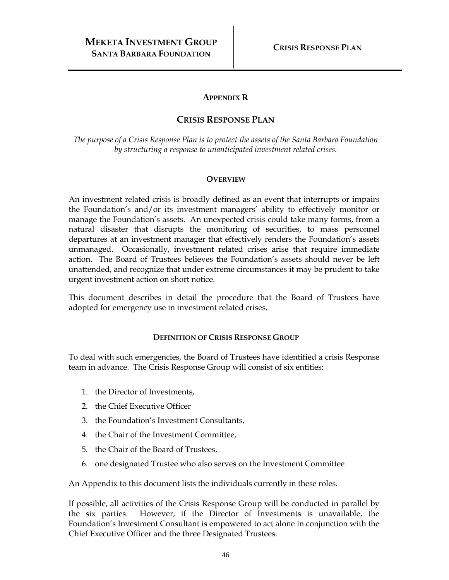#### **APPENDIX R**

### **CRISIS RESPONSE PLAN**

*The purpose of a Crisis Response Plan is to protect the assets of the Santa Barbara Foundation by structuring a response to unanticipated investment related crises.*

#### **OVERVIEW**

An investment related crisis is broadly defined as an event that interrupts or impairs the Foundation's and/or its investment managers' ability to effectively monitor or manage the Foundation's assets. An unexpected crisis could take many forms, from a natural disaster that disrupts the monitoring of securities, to mass personnel departures at an investment manager that effectively renders the Foundation's assets unmanaged. Occasionally, investment related crises arise that require immediate action. The Board of Trustees believes the Foundation's assets should never be left unattended, and recognize that under extreme circumstances it may be prudent to take urgent investment action on short notice.

This document describes in detail the procedure that the Board of Trustees have adopted for emergency use in investment related crises.

#### **DEFINITION OF CRISIS RESPONSE GROUP**

To deal with such emergencies, the Board of Trustees have identified a crisis Response team in advance. The Crisis Response Group will consist of six entities:

- 1. the Director of Investments,
- 2. the Chief Executive Officer
- 3. the Foundation's Investment Consultants,
- 4. the Chair of the Investment Committee,
- 5. the Chair of the Board of Trustees,
- 6. one designated Trustee who also serves on the Investment Committee

An Appendix to this document lists the individuals currently in these roles.

If possible, all activities of the Crisis Response Group will be conducted in parallel by the six parties. However, if the Director of Investments is unavailable, the Foundation's Investment Consultant is empowered to act alone in conjunction with the Chief Executive Officer and the three Designated Trustees.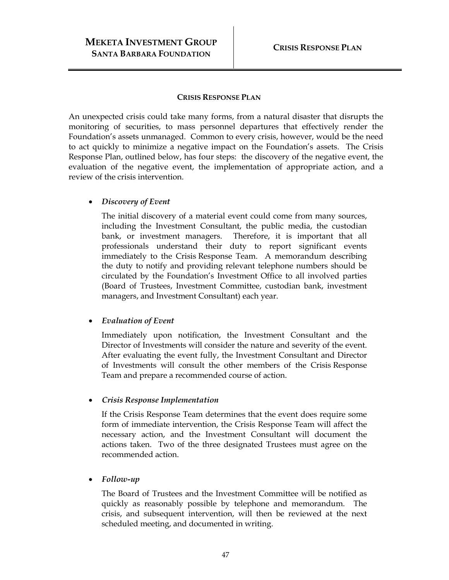#### **CRISIS RESPONSE PLAN**

An unexpected crisis could take many forms, from a natural disaster that disrupts the monitoring of securities, to mass personnel departures that effectively render the Foundation's assets unmanaged. Common to every crisis, however, would be the need to act quickly to minimize a negative impact on the Foundation's assets. The Crisis Response Plan, outlined below, has four steps: the discovery of the negative event, the evaluation of the negative event, the implementation of appropriate action, and a review of the crisis intervention.

### • *Discovery of Event*

The initial discovery of a material event could come from many sources, including the Investment Consultant, the public media, the custodian bank, or investment managers. Therefore, it is important that all professionals understand their duty to report significant events immediately to the Crisis Response Team. A memorandum describing the duty to notify and providing relevant telephone numbers should be circulated by the Foundation's Investment Office to all involved parties (Board of Trustees, Investment Committee, custodian bank, investment managers, and Investment Consultant) each year.

#### • *Evaluation of Event*

Immediately upon notification, the Investment Consultant and the Director of Investments will consider the nature and severity of the event. After evaluating the event fully, the Investment Consultant and Director of Investments will consult the other members of the Crisis Response Team and prepare a recommended course of action.

#### • *Crisis Response Implementation*

If the Crisis Response Team determines that the event does require some form of immediate intervention, the Crisis Response Team will affect the necessary action, and the Investment Consultant will document the actions taken. Two of the three designated Trustees must agree on the recommended action.

#### • *Follow-up*

The Board of Trustees and the Investment Committee will be notified as quickly as reasonably possible by telephone and memorandum. The crisis, and subsequent intervention, will then be reviewed at the next scheduled meeting, and documented in writing.